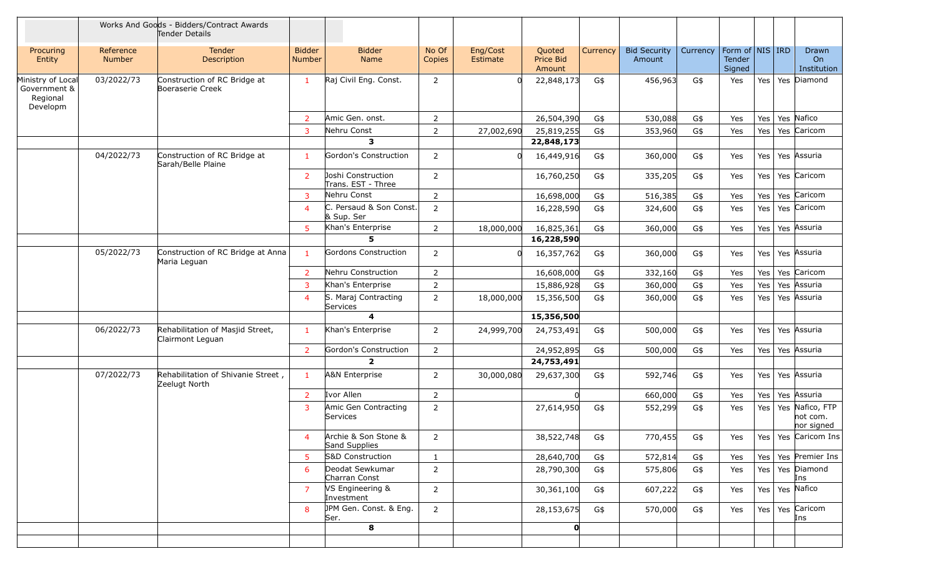|                                                           |                            | Works And Goods - Bidders/Contract Awards<br>Tender Details |                         |                                          |                 |                      |                               |          |                               |          |                                     |     |     |                                       |
|-----------------------------------------------------------|----------------------------|-------------------------------------------------------------|-------------------------|------------------------------------------|-----------------|----------------------|-------------------------------|----------|-------------------------------|----------|-------------------------------------|-----|-----|---------------------------------------|
| Procuring<br>Entity                                       | Reference<br><b>Number</b> | <b>Tender</b><br>Description                                | <b>Bidder</b><br>Number | <b>Bidder</b><br>Name                    | No Of<br>Copies | Eng/Cost<br>Estimate | Quoted<br>Price Bid<br>Amount | Currency | <b>Bid Security</b><br>Amount | Currency | Form of NIS IRD<br>Tender<br>Signed |     |     | Drawn<br>On<br>Institution            |
| Ministry of Local<br>Government &<br>Regional<br>Developm | 03/2022/73                 | Construction of RC Bridge at<br>Boeraserie Creek            | $\mathbf{1}$            | Raj Civil Eng. Const.                    | $\overline{2}$  | റ                    | 22,848,173                    | G\$      | 456,963                       | G\$      | Yes                                 | Yes |     | Yes Diamond                           |
|                                                           |                            |                                                             | $\overline{2}$          | Amic Gen. onst.                          | $\overline{2}$  |                      | 26,504,390                    | G\$      | 530,088                       | G\$      | Yes                                 | Yes |     | Yes Nafico                            |
|                                                           |                            |                                                             | 3                       | Nehru Const                              | $\overline{2}$  | 27,002,690           | 25,819,255                    | G\$      | 353,960                       | G\$      | Yes                                 | Yes |     | Yes Caricom                           |
|                                                           |                            |                                                             |                         | 3                                        |                 |                      | 22,848,173                    |          |                               |          |                                     |     |     |                                       |
|                                                           | 04/2022/73                 | Construction of RC Bridge at<br>Sarah/Belle Plaine          | $\mathbf{1}$            | Gordon's Construction                    | $\overline{2}$  | റ                    | 16,449,916                    | G\$      | 360,000                       | G\$      | Yes                                 | Yes |     | Yes Assuria                           |
|                                                           |                            |                                                             | $\overline{2}$          | Joshi Construction<br>Trans. EST - Three | $\overline{2}$  |                      | 16,760,250                    | G\$      | 335,205                       | G\$      | Yes                                 | Yes |     | Yes Caricom                           |
|                                                           |                            |                                                             | $\overline{3}$          | Nehru Const                              | $\overline{2}$  |                      | 16,698,000                    | G\$      | 516,385                       | G\$      | Yes                                 | Yes |     | Yes Caricom                           |
|                                                           |                            |                                                             | $\overline{4}$          | C. Persaud & Son Const.<br>& Sup. Ser    | $\overline{2}$  |                      | 16,228,590                    | G\$      | 324,600                       | G\$      | Yes                                 | Yes |     | Yes Caricom                           |
|                                                           |                            |                                                             | 5                       | Khan's Enterprise<br>5                   | 2               | 18,000,000           | 16,825,361                    | G\$      | 360,000                       | G\$      | Yes                                 | Yes |     | Yes Assuria                           |
|                                                           |                            |                                                             |                         |                                          |                 |                      | 16,228,590                    |          |                               |          |                                     |     |     |                                       |
|                                                           | 05/2022/73                 | Construction of RC Bridge at Anna<br>Maria Leguan           | $\mathbf{1}$            | Gordons Construction                     | $\overline{2}$  | റ                    | 16,357,762                    | G\$      | 360,000                       | G\$      | Yes                                 | Yes |     | Yes Assuria                           |
|                                                           |                            |                                                             | $\overline{2}$          | Nehru Construction                       | 2               |                      | 16,608,000                    | G\$      | 332,160                       | G\$      | Yes                                 | Yes |     | Yes Caricom                           |
|                                                           |                            |                                                             | 3                       | Khan's Enterprise                        | $\overline{2}$  |                      | 15,886,928                    | G\$      | 360,000                       | G\$      | Yes                                 | Yes |     | Yes Assuria                           |
|                                                           |                            |                                                             | $\overline{4}$          | S. Maraj Contracting<br>Services         | $\overline{2}$  | 18,000,000           | 15,356,500                    | G\$      | 360,000                       | G\$      | Yes                                 | Yes |     | Yes Assuria                           |
|                                                           |                            |                                                             |                         | 4                                        |                 |                      | 15,356,500                    |          |                               |          |                                     |     |     |                                       |
|                                                           | 06/2022/73                 | Rehabilitation of Masjid Street,<br>Clairmont Leguan        | $\mathbf{1}$            | Khan's Enterprise                        | 2               | 24,999,700           | 24,753,491                    | G\$      | 500,000                       | G\$      | Yes                                 | Yes |     | Yes Assuria                           |
|                                                           |                            |                                                             | $\overline{2}$          | Gordon's Construction                    | $\overline{2}$  |                      | 24,952,895                    | G\$      | 500,000                       | G\$      | Yes                                 | Yes |     | Yes Assuria                           |
|                                                           |                            |                                                             |                         | $\overline{2}$                           |                 |                      | 24,753,491                    |          |                               |          |                                     |     |     |                                       |
|                                                           | 07/2022/73                 | Rehabilitation of Shivanie Street,<br>Zeelugt North         | 1                       | A&N Enterprise                           | $\overline{2}$  | 30,000,080           | 29,637,300                    | G\$      | 592,746                       | G\$      | Yes                                 | Yes |     | Yes Assuria                           |
|                                                           |                            |                                                             | $\overline{2}$          | Ivor Allen                               | $\overline{2}$  |                      | - Ol                          |          | 660,000                       | G\$      | Yes                                 | Yes |     | Yes Assuria                           |
|                                                           |                            |                                                             | 3                       | Amic Gen Contracting<br>Services         | $\overline{2}$  |                      | 27,614,950                    | G\$      | 552,299                       | G\$      | Yes                                 | Yes | Yes | Nafico, FTP<br>not com.<br>nor signed |
|                                                           |                            |                                                             | 4                       | Archie & Son Stone &<br>Sand Supplies    | $\overline{2}$  |                      | 38,522,748                    | G\$      | 770,455                       | G\$      | Yes                                 |     |     | Yes   Yes   Caricom Ins               |
|                                                           |                            |                                                             | $5^{\circ}$             | S&D Construction                         | $\mathbf{1}$    |                      | 28,640,700                    | G\$      | 572,814                       | G\$      | Yes                                 | Yes |     | Yes Premier Ins                       |
|                                                           |                            |                                                             | 6                       | Deodat Sewkumar<br>Charran Const         | $\overline{2}$  |                      | 28,790,300                    | G\$      | 575,806                       | G\$      | Yes                                 |     |     | Yes   Yes   Diamond<br>Ins            |
|                                                           |                            |                                                             | $\overline{7}$          | VS Engineering &<br>Investment           | $\overline{2}$  |                      | 30,361,100                    | G\$      | 607,222                       | G\$      | Yes                                 |     |     | Yes   Yes   Nafico                    |
|                                                           |                            |                                                             | 8                       | JPM Gen. Const. & Eng.<br>Ser.           | $2^{\circ}$     |                      | 28,153,675                    | G\$      | 570,000                       | G\$      | Yes                                 |     |     | Yes   Yes   Caricom<br>Ins            |
|                                                           |                            |                                                             |                         | 8                                        |                 |                      | $\mathbf{O}$                  |          |                               |          |                                     |     |     |                                       |
|                                                           |                            |                                                             |                         |                                          |                 |                      |                               |          |                               |          |                                     |     |     |                                       |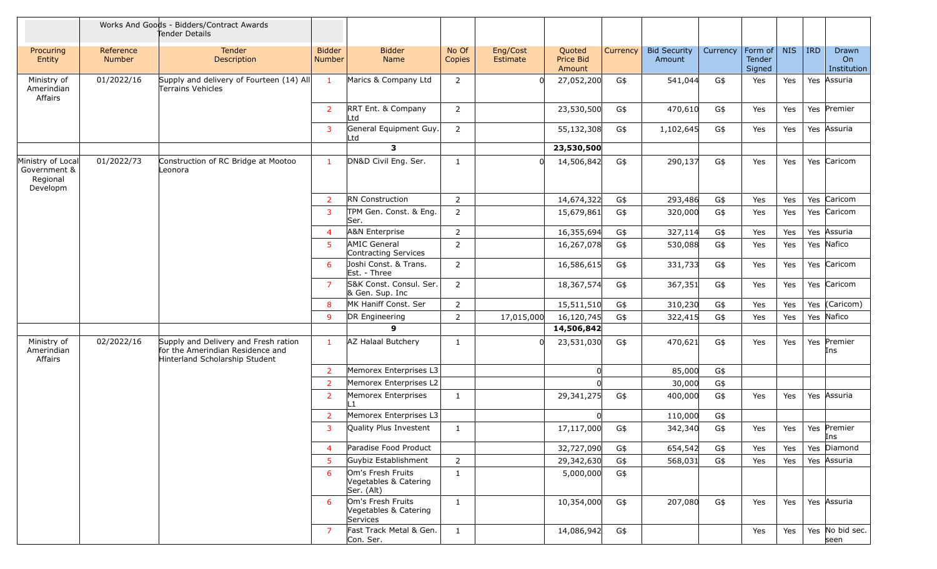|                                                           |                            | Works And Goods - Bidders/Contract Awards<br>Tender Details                                                |                                |                                                          |                 |                      |                               |          |                               |          |                             |            |            |                            |
|-----------------------------------------------------------|----------------------------|------------------------------------------------------------------------------------------------------------|--------------------------------|----------------------------------------------------------|-----------------|----------------------|-------------------------------|----------|-------------------------------|----------|-----------------------------|------------|------------|----------------------------|
| Procuring<br>Entity                                       | Reference<br><b>Number</b> | <b>Tender</b><br>Description                                                                               | <b>Bidder</b><br><b>Number</b> | <b>Bidder</b><br>Name                                    | No Of<br>Copies | Eng/Cost<br>Estimate | Quoted<br>Price Bid<br>Amount | Currency | <b>Bid Security</b><br>Amount | Currency | Form of<br>Tender<br>Signed | <b>NIS</b> | <b>IRD</b> | Drawn<br>On<br>Institution |
| Ministry of<br>Amerindian<br>Affairs                      | 01/2022/16                 | Supply and delivery of Fourteen (14) All<br>Terrains Vehicles                                              | $\mathbf{1}$                   | Marics & Company Ltd                                     | $\overline{2}$  | $\Omega$             | 27,052,200                    | G\$      | 541,044                       | G\$      | Yes                         | Yes        |            | Yes Assuria                |
|                                                           |                            |                                                                                                            | $\overline{2}$                 | RRT Ent. & Company<br>Ltd                                | $\overline{2}$  |                      | 23,530,500                    | G\$      | 470,610                       | G\$      | Yes                         | Yes        |            | Yes Premier                |
|                                                           |                            |                                                                                                            | $\overline{3}$                 | General Equipment Guy.<br>Ltd                            | $\overline{2}$  |                      | 55,132,308                    | G\$      | 1,102,645                     | G\$      | Yes                         | Yes        |            | Yes Assuria                |
|                                                           |                            |                                                                                                            |                                | $\overline{\mathbf{3}}$                                  |                 |                      | 23,530,500                    |          |                               |          |                             |            |            |                            |
| Ministry of Local<br>Government &<br>Regional<br>Developm | 01/2022/73                 | Construction of RC Bridge at Mootoo<br>Leonora                                                             | $\mathbf{1}$                   | DN&D Civil Eng. Ser.                                     | 1               |                      | 14,506,842                    | G\$      | 290,137                       | G\$      | Yes                         | Yes        |            | Yes Caricom                |
|                                                           |                            |                                                                                                            | $\overline{2}$                 | <b>RN</b> Construction                                   | $\overline{2}$  |                      | 14,674,322                    | G\$      | 293,486                       | G\$      | Yes                         | Yes        |            | Yes Caricom                |
|                                                           |                            |                                                                                                            | 3                              | TPM Gen. Const. & Eng.<br>Ser.                           | $\overline{2}$  |                      | 15,679,861                    | G\$      | 320,000                       | G\$      | Yes                         | Yes        |            | Yes Caricom                |
|                                                           |                            |                                                                                                            | $\overline{4}$                 | <b>A&amp;N Enterprise</b>                                | $\overline{2}$  |                      | 16,355,694                    | G\$      | 327,114                       | G\$      | Yes                         | Yes        | Yes        | Assuria                    |
|                                                           |                            |                                                                                                            | 5                              | <b>AMIC General</b><br>Contracting Services              | $\overline{2}$  |                      | 16,267,078                    | G\$      | 530,088                       | G\$      | Yes                         | Yes        |            | Yes Nafico                 |
|                                                           |                            |                                                                                                            | 6                              | Joshi Const. & Trans.<br>Est. - Three                    | 2               |                      | 16,586,615                    | G\$      | 331,733                       | G\$      | Yes                         | Yes        |            | Yes Caricom                |
|                                                           |                            |                                                                                                            | $\overline{7}$                 | S&K Const. Consul. Ser.<br>& Gen. Sup. Inc               | $\overline{2}$  |                      | 18,367,574                    | G\$      | 367,351                       | G\$      | Yes                         | Yes        |            | Yes Caricom                |
|                                                           |                            |                                                                                                            | 8                              | MK Haniff Const. Ser                                     | $\overline{2}$  |                      | 15,511,510                    | G\$      | 310,230                       | G\$      | Yes                         | Yes        | Yes        | (Caricom)                  |
|                                                           |                            |                                                                                                            | 9                              | DR Engineering                                           | $\overline{2}$  | 17,015,000           | 16,120,745                    | G\$      | 322,415                       | G\$      | Yes                         | Yes        |            | Yes Nafico                 |
|                                                           |                            |                                                                                                            |                                | 9                                                        |                 |                      | 14,506,842                    |          |                               |          |                             |            |            |                            |
| Ministry of<br>Amerindian<br>Affairs                      | 02/2022/16                 | Supply and Delivery and Fresh ration<br>for the Amerindian Residence and<br>Hinterland Scholarship Student | $\mathbf{1}$                   | AZ Halaal Butchery                                       | 1               |                      | 23,531,030                    | G\$      | 470,621                       | G\$      | Yes                         | Yes        |            | Yes Premier<br>Ins         |
|                                                           |                            |                                                                                                            | $\overline{2}$                 | Memorex Enterprises L3                                   |                 |                      |                               |          | 85,000                        | G\$      |                             |            |            |                            |
|                                                           |                            |                                                                                                            | $\overline{2}$                 | Memorex Enterprises L2                                   |                 |                      |                               |          | 30,000                        | G\$      |                             |            |            |                            |
|                                                           |                            |                                                                                                            | $\overline{2}$                 | Memorex Enterprises                                      | $\mathbf{1}$    |                      | 29,341,275                    | G\$      | 400,000                       | G\$      | Yes                         | Yes        |            | Yes Assuria                |
|                                                           |                            |                                                                                                            | $\overline{2}$                 | Memorex Enterprises L3                                   |                 |                      |                               |          | 110,000                       | G\$      |                             |            |            |                            |
|                                                           |                            |                                                                                                            | 3                              | Quality Plus Investent                                   | 1               |                      | 17,117,000                    | G\$      | 342,340                       | G\$      | Yes                         | Yes        |            | Yes Premier<br>Ins         |
|                                                           |                            |                                                                                                            | $\overline{4}$                 | Paradise Food Product                                    |                 |                      | 32,727,090                    | G\$      | 654,542                       | G\$      | Yes                         | Yes        |            | Yes Diamond                |
|                                                           |                            |                                                                                                            | 5                              | Guybiz Establishment                                     | $\overline{2}$  |                      | 29,342,630                    | G\$      | 568,031                       | G\$      | Yes                         | Yes        |            | Yes Assuria                |
|                                                           |                            |                                                                                                            | 6                              | Om's Fresh Fruits<br>Vegetables & Catering<br>Ser. (Alt) | $\mathbf{1}$    |                      | 5,000,000                     | G\$      |                               |          |                             |            |            |                            |
|                                                           |                            |                                                                                                            | -6                             | Om's Fresh Fruits<br>Vegetables & Catering<br>Services   | $\mathbf{1}$    |                      | 10,354,000                    | G\$      | 207,080                       | G\$      | Yes                         | Yes        |            | Yes Assuria                |
|                                                           |                            |                                                                                                            | 7                              | Fast Track Metal & Gen.<br>Con. Ser.                     | $\mathbf{1}$    |                      | 14,086,942                    | G\$      |                               |          | Yes                         | Yes        |            | Yes No bid sec.<br>seen    |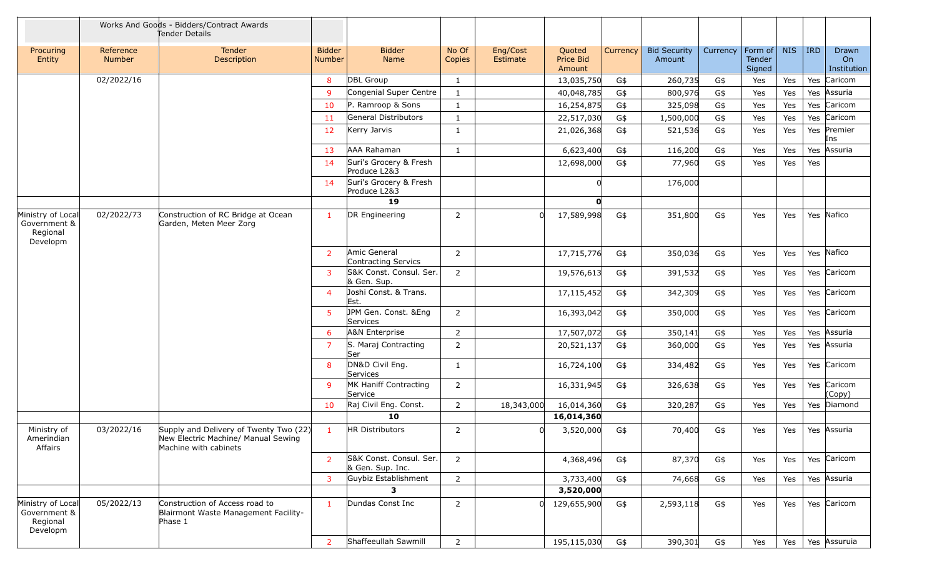|                                                           |                     | Works And Goods - Bidders/Contract Awards<br>Tender Details                                            |                                |                                             |                 |                      |                               |          |                               |          |                             |            |            |                            |
|-----------------------------------------------------------|---------------------|--------------------------------------------------------------------------------------------------------|--------------------------------|---------------------------------------------|-----------------|----------------------|-------------------------------|----------|-------------------------------|----------|-----------------------------|------------|------------|----------------------------|
| Procuring<br>Entity                                       | Reference<br>Number | Tender<br>Description                                                                                  | <b>Bidder</b><br><b>Number</b> | <b>Bidder</b><br>Name                       | No Of<br>Copies | Eng/Cost<br>Estimate | Quoted<br>Price Bid<br>Amount | Currency | <b>Bid Security</b><br>Amount | Currency | Form of<br>Tender<br>Signed | <b>NIS</b> | <b>IRD</b> | Drawn<br>On<br>Institution |
|                                                           | 02/2022/16          |                                                                                                        | 8                              | <b>DBL</b> Group                            | $\mathbf{1}$    |                      | 13,035,750                    | G\$      | 260,735                       | G\$      | Yes                         | Yes        |            | Yes Caricom                |
|                                                           |                     |                                                                                                        | $\mathbf{q}$                   | Congenial Super Centre                      | $\mathbf{1}$    |                      | 40,048,785                    | G\$      | 800,976                       | G\$      | Yes                         | Yes        | Yes        | Assuria                    |
|                                                           |                     |                                                                                                        | 10                             | P. Ramroop & Sons                           | $\mathbf{1}$    |                      | 16,254,875                    | G\$      | 325,098                       | G\$      | Yes                         | Yes        | Yes        | Caricom                    |
|                                                           |                     |                                                                                                        | 11                             | General Distributors                        | $\mathbf{1}$    |                      | 22,517,030                    | G\$      | 1,500,000                     | G\$      | Yes                         | Yes        |            | Yes Caricom                |
|                                                           |                     |                                                                                                        | 12                             | Kerry Jarvis                                | $\mathbf{1}$    |                      | 21,026,368                    | G\$      | 521,536                       | G\$      | Yes                         | Yes        | Yes        | Premier<br>Ins             |
|                                                           |                     |                                                                                                        | 13                             | AAA Rahaman                                 | 1               |                      | 6,623,400                     | G\$      | 116,200                       | G\$      | Yes                         | Yes        | Yes        | Assuria                    |
|                                                           |                     |                                                                                                        | 14                             | Suri's Grocery & Fresh<br>Produce L2&3      |                 |                      | 12,698,000                    | G\$      | 77,960                        | G\$      | Yes                         | Yes        | Yes        |                            |
|                                                           |                     |                                                                                                        | 14                             | Suri's Grocery & Fresh<br>Produce L2&3      |                 |                      |                               |          | 176,000                       |          |                             |            |            |                            |
|                                                           |                     |                                                                                                        |                                | 19                                          |                 |                      | n                             |          |                               |          |                             |            |            |                            |
| Ministry of Local<br>Government &<br>Regional<br>Developm | 02/2022/73          | Construction of RC Bridge at Ocean<br>Garden, Meten Meer Zorg                                          | $\mathbf{1}$                   | DR Engineering                              | $\overline{2}$  |                      | 17,589,998                    | G\$      | 351,800                       | G\$      | Yes                         | Yes        |            | Yes Nafico                 |
|                                                           |                     |                                                                                                        | $\overline{2}$                 | Amic General<br>Contracting Servics         | $\overline{2}$  |                      | 17,715,776                    | G\$      | 350,036                       | G\$      | Yes                         | Yes        |            | Yes Nafico                 |
|                                                           |                     |                                                                                                        | 3                              | S&K Const. Consul. Ser.<br>& Gen. Sup.      | 2               |                      | 19,576,613                    | G\$      | 391,532                       | G\$      | Yes                         | Yes        |            | Yes Caricom                |
|                                                           |                     |                                                                                                        | $\overline{\mathcal{A}}$       | Joshi Const. & Trans.<br>Est.               |                 |                      | 17,115,452                    | G\$      | 342,309                       | G\$      | Yes                         | Yes        |            | Yes Caricom                |
|                                                           |                     |                                                                                                        | 5                              | JPM Gen. Const. &Eng<br>Services            | 2               |                      | 16,393,042                    | G\$      | 350,000                       | G\$      | Yes                         | Yes        |            | Yes Caricom                |
|                                                           |                     |                                                                                                        | 6                              | A&N Enterprise                              | $\overline{2}$  |                      | 17,507,072                    | G\$      | 350,141                       | G\$      | Yes                         | Yes        | Yes        | Assuria                    |
|                                                           |                     |                                                                                                        | $\overline{7}$                 | S. Maraj Contracting<br><b>Ser</b>          | $\overline{2}$  |                      | 20,521,137                    | G\$      | 360,000                       | G\$      | Yes                         | Yes        | Yes        | Assuria                    |
|                                                           |                     |                                                                                                        | 8                              | DN&D Civil Eng.<br>Services                 | 1               |                      | 16,724,100                    | G\$      | 334,482                       | G\$      | Yes                         | Yes        |            | Yes Caricom                |
|                                                           |                     |                                                                                                        | $\mathbf{q}$                   | MK Haniff Contracting<br>Service            | $\overline{2}$  |                      | 16,331,945                    | G\$      | 326,638                       | G\$      | Yes                         | Yes        |            | Yes Caricom<br>(Copy)      |
|                                                           |                     |                                                                                                        | 10                             | Raj Civil Eng. Const.                       | $\overline{2}$  | 18,343,000           | 16,014,360                    | G\$      | 320,287                       | G\$      | Yes                         | Yes        | Yes        | Diamond                    |
|                                                           |                     |                                                                                                        |                                | 10                                          |                 |                      | 16,014,360                    |          |                               |          |                             |            |            |                            |
| Ministry of<br>Amerindian<br>Affairs                      | 03/2022/16          | Supply and Delivery of Twenty Two (22)<br>New Electric Machine/ Manual Sewing<br>Machine with cabinets |                                | HR Distributors                             | $\overline{z}$  |                      | 3,520,000                     | G\$      | 70,400                        | G\$      | Yes                         | Yes        |            | Yes Assuria                |
|                                                           |                     |                                                                                                        | $\overline{2}$                 | S&K Const. Consul. Ser.<br>& Gen. Sup. Inc. | $\overline{2}$  |                      | 4,368,496                     | G\$      | 87,370                        | G\$      | Yes                         | Yes        |            | Yes Caricom                |
|                                                           |                     |                                                                                                        | 3                              | Guybiz Establishment                        | $\overline{2}$  |                      | 3,733,400                     | G\$      | 74,668                        | G\$      | Yes                         | Yes        |            | Yes Assuria                |
|                                                           |                     |                                                                                                        |                                | 3                                           |                 |                      | 3,520,000                     |          |                               |          |                             |            |            |                            |
| Ministry of Local<br>Government &<br>Regional<br>Developm | 05/2022/13          | Construction of Access road to<br>Blairmont Waste Management Facility-<br>Phase 1                      | $\mathbf{1}$                   | Dundas Const Inc                            | $\overline{2}$  | 0                    | 129,655,900                   | G\$      | 2,593,118                     | G\$      | Yes                         | Yes        |            | Yes Caricom                |
|                                                           |                     |                                                                                                        | $\overline{2}$                 | Shaffeeullah Sawmill                        | $\overline{2}$  |                      | 195,115,030                   | G\$      | 390,301                       | G\$      | Yes                         | Yes        |            | Yes Assuruia               |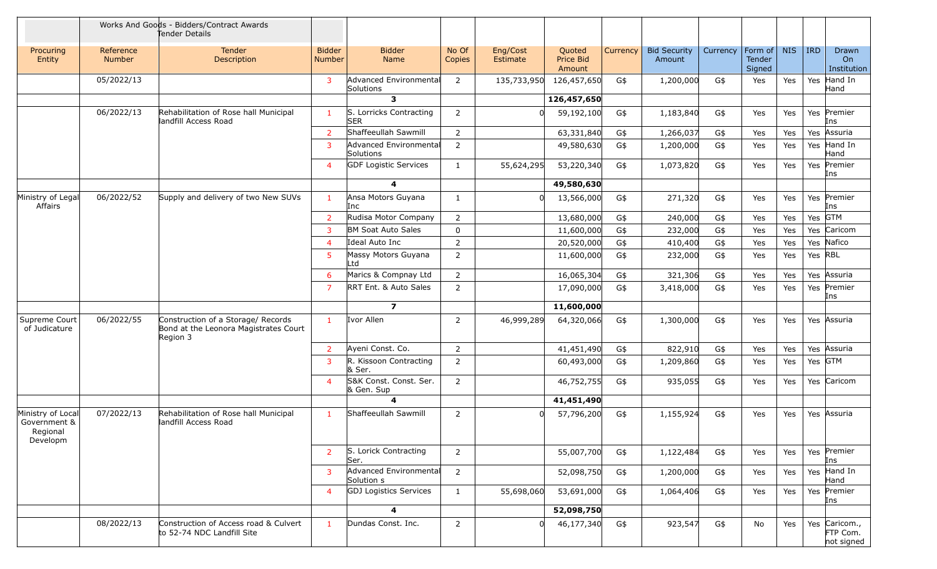|                                                           |                     | Works And Goods - Bidders/Contract Awards<br>Tender Details                             |                                |                                       |                 |                      |                               |          |                               |          |                             |            |            |                                         |
|-----------------------------------------------------------|---------------------|-----------------------------------------------------------------------------------------|--------------------------------|---------------------------------------|-----------------|----------------------|-------------------------------|----------|-------------------------------|----------|-----------------------------|------------|------------|-----------------------------------------|
| Procuring<br>Entity                                       | Reference<br>Number | Tender<br><b>Description</b>                                                            | <b>Bidder</b><br><b>Number</b> | <b>Bidder</b><br>Name                 | No Of<br>Copies | Eng/Cost<br>Estimate | Quoted<br>Price Bid<br>Amount | Currency | <b>Bid Security</b><br>Amount | Currency | Form of<br>Tender<br>Signed | <b>NIS</b> | <b>IRD</b> | Drawn<br>On<br>Institution              |
|                                                           | 05/2022/13          |                                                                                         | 3                              | Advanced Environmental<br>Solutions   | $\overline{2}$  | 135,733,950          | 126,457,650                   | G\$      | 1,200,000                     | G\$      | Yes                         | Yes        |            | Yes Hand In<br>Hand                     |
|                                                           |                     |                                                                                         |                                | 3                                     |                 |                      | 126,457,650                   |          |                               |          |                             |            |            |                                         |
|                                                           | 06/2022/13          | Rehabilitation of Rose hall Municipal<br>landfill Access Road                           | 1                              | S. Lorricks Contracting<br><b>SER</b> | 2               |                      | 59,192,100                    | G\$      | 1,183,840                     | G\$      | Yes                         | Yes        |            | Yes Premier<br>Ins                      |
|                                                           |                     |                                                                                         | $\overline{2}$                 | Shaffeeullah Sawmill                  | $\overline{2}$  |                      | 63,331,840                    | G\$      | 1,266,037                     | G\$      | Yes                         | Yes        | Yes        | Assuria                                 |
|                                                           |                     |                                                                                         | 3                              | Advanced Environmental<br>Solutions   | $\overline{2}$  |                      | 49,580,630                    | G\$      | 1,200,000                     | G\$      | Yes                         | Yes        |            | Yes Hand In<br>Hand                     |
|                                                           |                     |                                                                                         | $\overline{4}$                 | <b>GDF Logistic Services</b>          | $\mathbf{1}$    | 55,624,295           | 53,220,340                    | G\$      | 1,073,820                     | G\$      | Yes                         | Yes        |            | Yes Premier<br>Ins                      |
|                                                           |                     |                                                                                         |                                | 4                                     |                 |                      | 49,580,630                    |          |                               |          |                             |            |            |                                         |
| Ministry of Legal<br>Affairs                              | 06/2022/52          | Supply and delivery of two New SUVs                                                     | $\mathbf{1}$                   | Ansa Motors Guyana<br>Inc             | $\mathbf{1}$    |                      | 13,566,000                    | G\$      | 271,320                       | G\$      | Yes                         | Yes        |            | Yes Premier<br>Ins                      |
|                                                           |                     |                                                                                         | $\overline{2}$                 | Rudisa Motor Company                  | $\overline{2}$  |                      | 13,680,000                    | G\$      | 240,000                       | G\$      | Yes                         | Yes        |            | Yes GTM                                 |
|                                                           |                     |                                                                                         | 3                              | BM Soat Auto Sales                    | $\mathbf 0$     |                      | 11,600,000                    | G\$      | 232,000                       | G\$      | Yes                         | Yes        |            | Yes Caricom                             |
|                                                           |                     |                                                                                         | $\overline{4}$                 | Ideal Auto Inc                        | $\overline{2}$  |                      | 20,520,000                    | G\$      | 410,400                       | G\$      | Yes                         | Yes        |            | Yes Nafico                              |
|                                                           |                     |                                                                                         | 5                              | Massy Motors Guyana<br>Ltd            | $\overline{2}$  |                      | 11,600,000                    | G\$      | 232,000                       | G\$      | Yes                         | Yes        |            | Yes RBL                                 |
|                                                           |                     |                                                                                         | 6                              | Marics & Compnay Ltd                  | $\overline{2}$  |                      | 16,065,304                    | G\$      | 321,306                       | G\$      | Yes                         | Yes        |            | Yes Assuria                             |
|                                                           |                     |                                                                                         | $\overline{7}$                 | RRT Ent. & Auto Sales                 | $\overline{2}$  |                      | 17,090,000                    | G\$      | 3,418,000                     | G\$      | Yes                         | Yes        |            | Yes Premier<br>Ins                      |
|                                                           |                     |                                                                                         |                                | $\overline{ }$                        |                 |                      | 11,600,000                    |          |                               |          |                             |            |            |                                         |
| Supreme Court<br>of Judicature                            | 06/2022/55          | Construction of a Storage/ Records<br>Bond at the Leonora Magistrates Court<br>Region 3 | $\mathbf{1}$                   | Ivor Allen                            | $\overline{2}$  | 46,999,289           | 64,320,066                    | G\$      | 1,300,000                     | G\$      | Yes                         | Yes        |            | Yes Assuria                             |
|                                                           |                     |                                                                                         | $\overline{2}$                 | Ayeni Const. Co.                      | $\overline{2}$  |                      | 41,451,490                    | G\$      | 822,910                       | G\$      | Yes                         | Yes        |            | Yes Assuria                             |
|                                                           |                     |                                                                                         | 3                              | R. Kissoon Contracting<br>& Ser.      | $\overline{2}$  |                      | 60,493,000                    | G\$      | 1,209,860                     | G\$      | Yes                         | Yes        |            | Yes GTM                                 |
|                                                           |                     |                                                                                         | $\overline{4}$                 | S&K Const. Const. Ser.<br>& Gen. Sup  | $\overline{2}$  |                      | 46,752,755                    | G\$      | 935,055                       | G\$      | Yes                         | Yes        |            | Yes Caricom                             |
|                                                           |                     |                                                                                         |                                | 4                                     |                 |                      | 41,451,490                    |          |                               |          |                             |            |            |                                         |
| Ministry of Local<br>Government &<br>Regional<br>Developm | 07/2022/13          | Rehabilitation of Rose hall Municipal<br>landfill Access Road                           | $\mathbf{1}$                   | Shaffeeullah Sawmill                  | 2               |                      | 57,796,200                    | G\$      | 1,155,924                     | G\$      | Yes                         | Yes        |            | Yes Assuria                             |
|                                                           |                     |                                                                                         | 2                              | S. Lorick Contracting<br>Ser.         | $\overline{2}$  |                      | 55,007,700                    | G\$      | 1,122,484                     | G\$      | Yes                         | Yes        |            | Yes Premier<br>Ins                      |
|                                                           |                     |                                                                                         | 3                              | Advanced Environmental<br>Solution s  | $\overline{2}$  |                      | 52,098,750                    | G\$      | 1,200,000                     | G\$      | Yes                         | Yes        |            | Yes Hand In<br>Hand                     |
|                                                           |                     |                                                                                         | $\overline{4}$                 | <b>GDJ Logistics Services</b>         | $\mathbf{1}$    | 55,698,060           | 53,691,000                    | G\$      | 1,064,406                     | G\$      | Yes                         | Yes        |            | Yes Premier<br>Ins                      |
|                                                           |                     |                                                                                         |                                | 4                                     |                 |                      | 52,098,750                    |          |                               |          |                             |            |            |                                         |
|                                                           | 08/2022/13          | Construction of Access road & Culvert<br>to 52-74 NDC Landfill Site                     | $\mathbf{1}$                   | Dundas Const. Inc.                    | $\overline{2}$  |                      | 46,177,340                    | G\$      | 923,547                       | G\$      | No                          | Yes        |            | Yes Caricom.,<br>FTP Com.<br>not signed |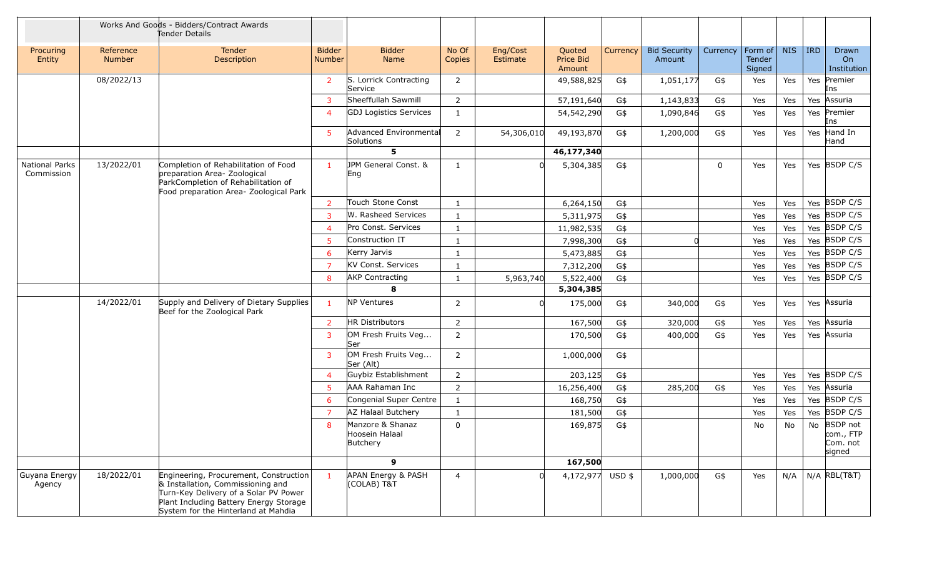|                                     |                            | Works And Goods - Bidders/Contract Awards<br>Tender Details                                                                                                                                           |                                |                                                |                 |                      |                               |          |                               |          |                             |            |     |                                                |
|-------------------------------------|----------------------------|-------------------------------------------------------------------------------------------------------------------------------------------------------------------------------------------------------|--------------------------------|------------------------------------------------|-----------------|----------------------|-------------------------------|----------|-------------------------------|----------|-----------------------------|------------|-----|------------------------------------------------|
| Procuring<br>Entity                 | Reference<br><b>Number</b> | Tender<br>Description                                                                                                                                                                                 | <b>Bidder</b><br><b>Number</b> | <b>Bidder</b><br><b>Name</b>                   | No Of<br>Copies | Eng/Cost<br>Estimate | Quoted<br>Price Bid<br>Amount | Currency | <b>Bid Security</b><br>Amount | Currency | Form of<br>Tender<br>Signed | <b>NIS</b> | IRD | Drawn<br>On<br>Institution                     |
|                                     | 08/2022/13                 |                                                                                                                                                                                                       | $\overline{2}$                 | S. Lorrick Contracting<br>Service              | 2               |                      | 49,588,825                    | G\$      | 1,051,177                     | G\$      | Yes                         | Yes        |     | Yes Premier<br>Ins                             |
|                                     |                            |                                                                                                                                                                                                       | 3                              | Sheeffullah Sawmill                            | 2               |                      | 57,191,640                    | G\$      | 1,143,833                     | G\$      | Yes                         | Yes        | Yes | Assuria                                        |
|                                     |                            |                                                                                                                                                                                                       | $\overline{4}$                 | <b>GDJ Logistics Services</b>                  | 1               |                      | 54,542,290                    | G\$      | 1,090,846                     | G\$      | Yes                         | Yes        | Yes | Premier<br>Ins                                 |
|                                     |                            |                                                                                                                                                                                                       | 5                              | Advanced Environmental<br>Solutions            | $\overline{2}$  | 54,306,010           | 49,193,870                    | G\$      | 1,200,000                     | G\$      | Yes                         | Yes        | Yes | Hand In<br>Hand                                |
|                                     |                            |                                                                                                                                                                                                       |                                | 5                                              |                 |                      | 46,177,340                    |          |                               |          |                             |            |     |                                                |
| <b>National Parks</b><br>Commission | 13/2022/01                 | Completion of Rehabilitation of Food<br>preparation Area- Zoological<br>ParkCompletion of Rehabilitation of<br>Food preparation Area- Zoological Park                                                 | $\mathbf{1}$                   | JPM General Const. &<br>Eng                    | $\mathbf{1}$    |                      | 5,304,385                     | G\$      |                               | 0        | Yes                         | Yes        |     | Yes BSDP C/S                                   |
|                                     |                            |                                                                                                                                                                                                       | 2                              | Touch Stone Const                              | 1               |                      | 6,264,150                     | G\$      |                               |          | Yes                         | Yes        |     | Yes BSDP C/S                                   |
|                                     |                            |                                                                                                                                                                                                       | 3                              | W. Rasheed Services                            | $\mathbf{1}$    |                      | 5,311,975                     | G\$      |                               |          | Yes                         | Yes        |     | Yes BSDP C/S                                   |
|                                     |                            |                                                                                                                                                                                                       | $\overline{4}$                 | Pro Const. Services                            | 1               |                      | 11,982,535                    | G\$      |                               |          | Yes                         | Yes        |     | Yes BSDP C/S                                   |
|                                     |                            |                                                                                                                                                                                                       | 5                              | Construction IT                                | $\mathbf{1}$    |                      | 7,998,300                     | G\$      | 0l                            |          | Yes                         | Yes        |     | Yes BSDP C/S                                   |
|                                     |                            |                                                                                                                                                                                                       | 6                              | Kerry Jarvis                                   | 1               |                      | 5,473,885                     | G\$      |                               |          | Yes                         | Yes        |     | Yes BSDP C/S                                   |
|                                     |                            |                                                                                                                                                                                                       | $\overline{7}$                 | KV Const. Services                             | $\mathbf{1}$    |                      | 7,312,200                     | G\$      |                               |          | Yes                         | Yes        |     | Yes BSDP C/S                                   |
|                                     |                            |                                                                                                                                                                                                       | 8                              | <b>AKP Contracting</b>                         | 1               | 5,963,740            | 5,522,400                     | G\$      |                               |          | Yes                         | Yes        |     | Yes BSDP C/S                                   |
|                                     |                            |                                                                                                                                                                                                       |                                | 8                                              |                 |                      | 5,304,385                     |          |                               |          |                             |            |     |                                                |
|                                     | 14/2022/01                 | Supply and Delivery of Dietary Supplies<br>Beef for the Zoological Park                                                                                                                               | $\mathbf{1}$                   | <b>NP Ventures</b>                             | 2               |                      | 175,000                       | G\$      | 340,000                       | G\$      | Yes                         | Yes        |     | Yes Assuria                                    |
|                                     |                            |                                                                                                                                                                                                       | 2                              | HR Distributors                                | $\overline{2}$  |                      | 167,500                       | G\$      | 320,000                       | G\$      | Yes                         | Yes        |     | Yes Assuria                                    |
|                                     |                            |                                                                                                                                                                                                       | 3                              | OM Fresh Fruits Veg<br>Ser                     | $\overline{2}$  |                      | 170,500                       | G\$      | 400,000                       | G\$      | Yes                         | Yes        |     | Yes Assuria                                    |
|                                     |                            |                                                                                                                                                                                                       | 3                              | OM Fresh Fruits Veg<br>Ser (Alt)               | $\overline{2}$  |                      | 1,000,000                     | G\$      |                               |          |                             |            |     |                                                |
|                                     |                            |                                                                                                                                                                                                       | $\overline{4}$                 | Guybiz Establishment                           | $\overline{2}$  |                      | 203,125                       | G\$      |                               |          | Yes                         | Yes        |     | Yes BSDP C/S                                   |
|                                     |                            |                                                                                                                                                                                                       | 5                              | AAA Rahaman Inc                                | $\overline{2}$  |                      | 16,256,400                    | G\$      | 285,200                       | G\$      | Yes                         | Yes        |     | Yes Assuria                                    |
|                                     |                            |                                                                                                                                                                                                       | 6                              | Congenial Super Centre                         | $\mathbf{1}$    |                      | 168,750                       | G\$      |                               |          | Yes                         | Yes        |     | Yes BSDP C/S                                   |
|                                     |                            |                                                                                                                                                                                                       | 7                              | AZ Halaal Butchery                             | $\mathbf{1}$    |                      | 181,500                       | G\$      |                               |          | Yes                         | Yes        |     | Yes BSDP C/S                                   |
|                                     |                            |                                                                                                                                                                                                       | 8                              | Manzore & Shanaz<br>Hoosein Halaal<br>Butchery | $\mathbf 0$     |                      | 169,875                       | G\$      |                               |          | No                          | No         |     | No BSDP not<br>com., FTP<br>Com. not<br>signed |
|                                     |                            |                                                                                                                                                                                                       |                                | 9                                              |                 |                      | 167,500                       |          |                               |          |                             |            |     |                                                |
| Guyana Energy<br>Agency             | 18/2022/01                 | Engineering, Procurement, Construction<br>& Installation, Commissioning and<br>Turn-Key Delivery of a Solar PV Power<br>Plant Including Battery Energy Storage<br>System for the Hinterland at Mahdia | $\mathbf{1}$                   | APAN Energy & PASH<br>(COLAB) T&T              | $\overline{4}$  |                      | 4,172,977 USD \$              |          | 1,000,000                     | G\$      | Yes                         | N/A        |     | N/A RBL(T&T)                                   |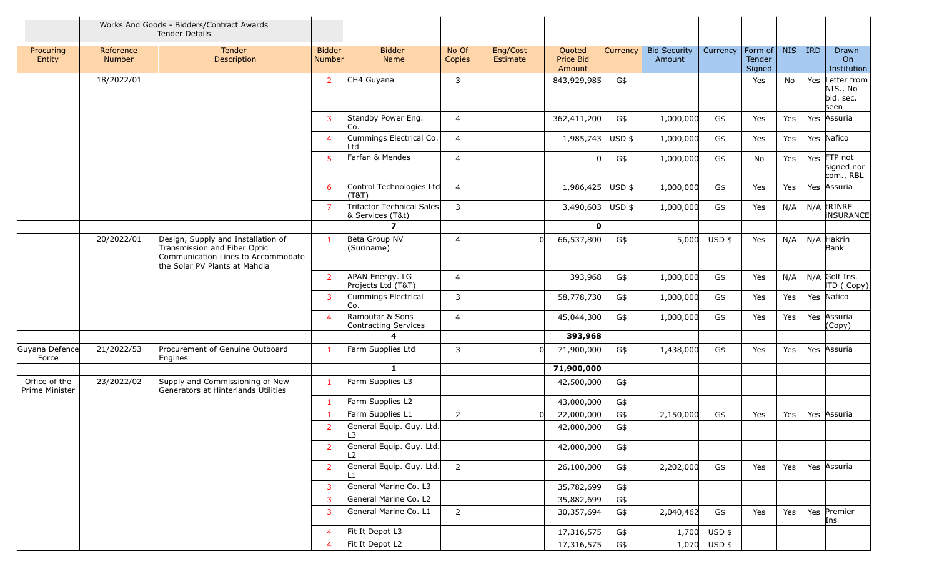|                                 |                     | Works And Goods - Bidders/Contract Awards<br>Tender Details                                                                               |                                |                                                      |                 |                      |                               |          |                               |              |                             |            |            |                                              |
|---------------------------------|---------------------|-------------------------------------------------------------------------------------------------------------------------------------------|--------------------------------|------------------------------------------------------|-----------------|----------------------|-------------------------------|----------|-------------------------------|--------------|-----------------------------|------------|------------|----------------------------------------------|
| Procuring<br>Entity             | Reference<br>Number | Tender<br>Description                                                                                                                     | <b>Bidder</b><br><b>Number</b> | <b>Bidder</b><br>Name                                | No Of<br>Copies | Eng/Cost<br>Estimate | Quoted<br>Price Bid<br>Amount | Currency | <b>Bid Security</b><br>Amount | Currency     | Form of<br>Tender<br>Signed | <b>NIS</b> | <b>IRD</b> | Drawn<br>On<br>Institution                   |
|                                 | 18/2022/01          |                                                                                                                                           | $\overline{2}$                 | CH4 Guyana                                           | 3               |                      | 843,929,985                   | G\$      |                               |              | Yes                         | No         | Yes        | Letter from<br>NIS., No<br>bid. sec.<br>seen |
|                                 |                     |                                                                                                                                           | 3                              | Standby Power Eng.<br>Co.                            | $\overline{4}$  |                      | 362,411,200                   | G\$      | 1,000,000                     | G\$          | Yes                         | Yes        |            | Yes Assuria                                  |
|                                 |                     |                                                                                                                                           | $\overline{4}$                 | Cummings Electrical Co.<br>Ltd                       | $\overline{4}$  |                      | 1,985,743                     | USD \$   | 1,000,000                     | G\$          | Yes                         | Yes        |            | Yes Nafico                                   |
|                                 |                     |                                                                                                                                           | 5                              | Farfan & Mendes                                      | $\overline{4}$  |                      |                               | G\$      | 1,000,000                     | G\$          | No                          | Yes        |            | Yes FTP not<br>signed nor<br>com., RBL       |
|                                 |                     |                                                                                                                                           | 6                              | Control Technologies Ltd<br>(T&T)                    | $\overline{4}$  |                      | 1,986,425                     | USD \$   | 1,000,000                     | G\$          | Yes                         | Yes        |            | Yes Assuria                                  |
|                                 |                     |                                                                                                                                           | $\overline{7}$                 | <b>Trifactor Technical Sales</b><br>& Services (T&t) | 3               |                      | 3,490,603                     | $USD$ \$ | 1,000,000                     | G\$          | Yes                         | N/A        |            | $N/A$ trinke<br><b>INSURANCE</b>             |
|                                 |                     |                                                                                                                                           |                                | $\overline{ }$                                       |                 |                      |                               |          |                               |              |                             |            |            |                                              |
|                                 | 20/2022/01          | Design, Supply and Installation of<br>Transmission and Fiber Optic<br>Communication Lines to Accommodate<br>the Solar PV Plants at Mahdia | $\mathbf{1}$                   | Beta Group NV<br>(Suriname)                          | 4               |                      | 66,537,800                    | G\$      | 5,000                         | USD \$       | Yes                         | N/A        |            | $N/A$ Hakrin<br>Bank                         |
|                                 |                     |                                                                                                                                           | $\overline{2}$                 | APAN Energy. LG<br>Projects Ltd (T&T)                | $\overline{4}$  |                      | 393,968                       | G\$      | 1,000,000                     | G\$          | Yes                         | N/A        |            | $N/A$ Golf Ins.<br>ITD (Copy)                |
|                                 |                     |                                                                                                                                           | 3                              | Cummings Electrical<br>Co.                           | 3               |                      | 58,778,730                    | G\$      | 1,000,000                     | G\$          | Yes                         | Yes        |            | Yes Nafico                                   |
|                                 |                     |                                                                                                                                           | $\overline{4}$                 | Ramoutar & Sons<br>Contracting Services              | 4               |                      | 45,044,300                    | G\$      | 1,000,000                     | G\$          | Yes                         | Yes        | Yes        | Assuria<br>(Copy)                            |
|                                 |                     |                                                                                                                                           |                                | 4                                                    |                 |                      | 393,968                       |          |                               |              |                             |            |            |                                              |
| Guyana Defence<br>Force         | 21/2022/53          | Procurement of Genuine Outboard<br>Engines                                                                                                | $\mathbf{1}$                   | Farm Supplies Ltd                                    | 3               |                      | 71,900,000                    | G\$      | 1,438,000                     | G\$          | Yes                         | Yes        |            | Yes Assuria                                  |
|                                 |                     |                                                                                                                                           |                                | $\mathbf{1}$                                         |                 |                      | 71,900,000                    |          |                               |              |                             |            |            |                                              |
| Office of the<br>Prime Minister | 23/2022/02          | Supply and Commissioning of New<br>Generators at Hinterlands Utilities                                                                    | $\mathbf{1}$                   | Farm Supplies L3                                     |                 |                      | 42,500,000                    | G\$      |                               |              |                             |            |            |                                              |
|                                 |                     |                                                                                                                                           | 1                              | Farm Supplies L2                                     |                 |                      | 43,000,000                    | G\$      |                               |              |                             |            |            |                                              |
|                                 |                     |                                                                                                                                           | -1                             | Farm Supplies L1                                     | $\overline{2}$  |                      | 22,000,000                    | G\$      | 2,150,000                     | G\$          | Yes                         | Yes        |            | Yes Assuria                                  |
|                                 |                     |                                                                                                                                           | 2                              | General Equip. Guy. Ltd.<br>L3                       |                 |                      | 42,000,000                    | G\$      |                               |              |                             |            |            |                                              |
|                                 |                     |                                                                                                                                           | $\overline{2}$                 | General Equip. Guy. Ltd.<br>L2                       |                 |                      | 42,000,000                    | G\$      |                               |              |                             |            |            |                                              |
|                                 |                     |                                                                                                                                           | $\overline{2}$                 | General Equip. Guy. Ltd.                             | $\overline{2}$  |                      | 26,100,000                    | G\$      | 2,202,000                     | G\$          | Yes                         | Yes        |            | Yes Assuria                                  |
|                                 |                     |                                                                                                                                           | 3                              | General Marine Co. L3                                |                 |                      | 35,782,699                    | G\$      |                               |              |                             |            |            |                                              |
|                                 |                     |                                                                                                                                           | 3                              | General Marine Co. L2                                |                 |                      | 35,882,699                    | G\$      |                               |              |                             |            |            |                                              |
|                                 |                     |                                                                                                                                           | 3                              | General Marine Co. L1                                | $\overline{2}$  |                      | 30,357,694                    | G\$      | 2,040,462                     | G\$          | Yes                         | Yes        |            | Yes Premier<br>Ins                           |
|                                 |                     |                                                                                                                                           | $\overline{4}$                 | Fit It Depot L3                                      |                 |                      | 17,316,575                    | G\$      | 1,700                         | USD \$       |                             |            |            |                                              |
|                                 |                     |                                                                                                                                           | $\overline{4}$                 | Fit It Depot L2                                      |                 |                      | 17,316,575                    | G\$      |                               | 1,070 USD \$ |                             |            |            |                                              |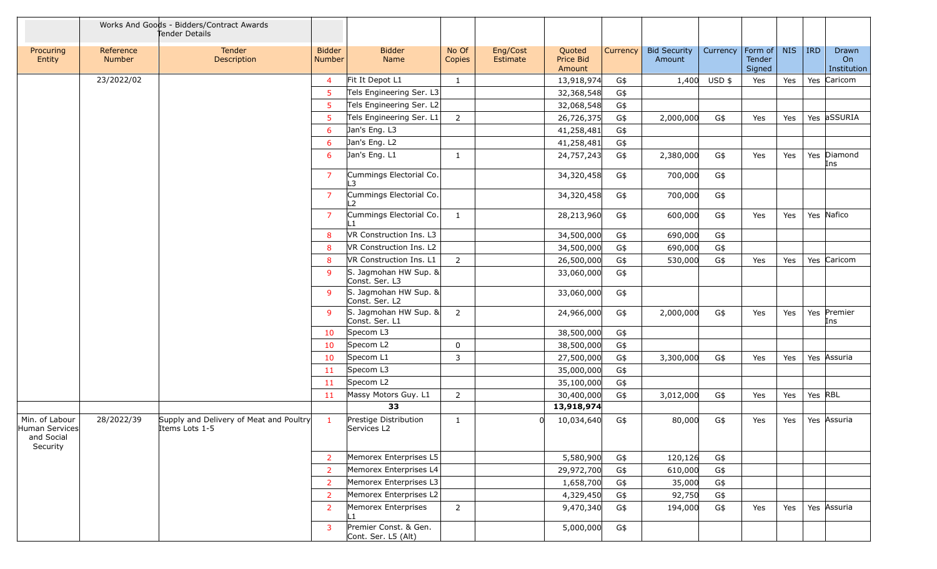|                                                            |                            | Works And Goods - Bidders/Contract Awards<br>Tender Details |                                |                                              |                 |                      |                               |          |                               |          |                             |            |         |                            |
|------------------------------------------------------------|----------------------------|-------------------------------------------------------------|--------------------------------|----------------------------------------------|-----------------|----------------------|-------------------------------|----------|-------------------------------|----------|-----------------------------|------------|---------|----------------------------|
| Procuring<br>Entity                                        | Reference<br><b>Number</b> | Tender<br>Description                                       | <b>Bidder</b><br><b>Number</b> | <b>Bidder</b><br>Name                        | No Of<br>Copies | Eng/Cost<br>Estimate | Quoted<br>Price Bid<br>Amount | Currency | <b>Bid Security</b><br>Amount | Currency | Form of<br>Tender<br>Signed | <b>NIS</b> | IRD     | Drawn<br>On<br>Institution |
|                                                            | 23/2022/02                 |                                                             | $\overline{4}$                 | Fit It Depot L1                              | $\mathbf{1}$    |                      | 13,918,974                    | G\$      | 1,400                         | USD \$   | Yes                         | Yes        |         | Yes Caricom                |
|                                                            |                            |                                                             | 5                              | Tels Engineering Ser. L3                     |                 |                      | 32,368,548                    | G\$      |                               |          |                             |            |         |                            |
|                                                            |                            |                                                             | -5                             | Tels Engineering Ser. L2                     |                 |                      | 32,068,548                    | G\$      |                               |          |                             |            |         |                            |
|                                                            |                            |                                                             | -5                             | Tels Engineering Ser. L1                     | $\overline{2}$  |                      | 26,726,375                    | G\$      | 2,000,000                     | G\$      | Yes                         | Yes        |         | Yes aSSURIA                |
|                                                            |                            |                                                             | 6                              | Jan's Eng. L3                                |                 |                      | 41,258,481                    | G\$      |                               |          |                             |            |         |                            |
|                                                            |                            |                                                             | 6                              | Jan's Eng. L2                                |                 |                      | 41,258,481                    | G\$      |                               |          |                             |            |         |                            |
|                                                            |                            |                                                             | 6                              | Jan's Eng. L1                                | 1               |                      | 24,757,243                    | G\$      | 2,380,000                     | G\$      | Yes                         | Yes        |         | Yes Diamond<br>Ins         |
|                                                            |                            |                                                             | $\overline{7}$                 | Cummings Electorial Co.<br>.3                |                 |                      | 34,320,458                    | G\$      | 700,000                       | G\$      |                             |            |         |                            |
|                                                            |                            |                                                             | $\overline{7}$                 | Cummings Electorial Co.<br>$\mathcal{L}$     |                 |                      | 34,320,458                    | G\$      | 700,000                       | G\$      |                             |            |         |                            |
|                                                            |                            |                                                             | $\overline{7}$                 | Cummings Electorial Co.<br>l 1               | 1               |                      | 28,213,960                    | G\$      | 600,000                       | G\$      | Yes                         | Yes        |         | Yes Nafico                 |
|                                                            |                            |                                                             | 8                              | VR Construction Ins. L3                      |                 |                      | 34,500,000                    | G\$      | 690,000                       | G\$      |                             |            |         |                            |
|                                                            |                            |                                                             | 8                              | VR Construction Ins. L2                      |                 |                      | 34,500,000                    | G\$      | 690,000                       | G\$      |                             |            |         |                            |
|                                                            |                            |                                                             | 8                              | VR Construction Ins. L1                      | $\overline{2}$  |                      | 26,500,000                    | G\$      | 530,000                       | G\$      | Yes                         | Yes        |         | Yes Caricom                |
|                                                            |                            |                                                             | 9                              | S. Jagmohan HW Sup. &<br>Const. Ser. L3      |                 |                      | 33,060,000                    | G\$      |                               |          |                             |            |         |                            |
|                                                            |                            |                                                             | 9                              | S. Jagmohan HW Sup. &<br>Const. Ser. L2      |                 |                      | 33,060,000                    | G\$      |                               |          |                             |            |         |                            |
|                                                            |                            |                                                             | -9                             | S. Jagmohan HW Sup. &<br>Const. Ser. L1      | $\overline{2}$  |                      | 24,966,000                    | G\$      | 2,000,000                     | G\$      | Yes                         | Yes        |         | Yes Premier<br>Ins         |
|                                                            |                            |                                                             | 10                             | Specom L3                                    |                 |                      | 38,500,000                    | G\$      |                               |          |                             |            |         |                            |
|                                                            |                            |                                                             | 10                             | Specom L2                                    | 0               |                      | 38,500,000                    | G\$      |                               |          |                             |            |         |                            |
|                                                            |                            |                                                             | 10                             | Specom L1                                    | 3               |                      | 27,500,000                    | G\$      | 3,300,000                     | G\$      | Yes                         | Yes        |         | Yes Assuria                |
|                                                            |                            |                                                             | 11                             | Specom L3                                    |                 |                      | 35,000,000                    | G\$      |                               |          |                             |            |         |                            |
|                                                            |                            |                                                             | 11                             | Specom L2                                    |                 |                      | 35,100,000                    | G\$      |                               |          |                             |            |         |                            |
|                                                            |                            |                                                             | 11                             | Massy Motors Guy. L1                         | 2               |                      | 30,400,000                    | G\$      | 3,012,000                     | G\$      | Yes                         | Yes        | Yes RBL |                            |
|                                                            |                            |                                                             |                                | 33                                           |                 |                      | 13,918,974                    |          |                               |          |                             |            |         |                            |
| Min. of Labour<br>Human Services<br>and Social<br>Security | 28/2022/39                 | Supply and Delivery of Meat and Poultry<br>Items Lots 1-5   | $\mathbf{1}$                   | Prestige Distribution<br>Services L2         | 1               |                      | 10,034,640                    | G\$      | 80,000                        | G\$      | Yes                         | Yes        |         | Yes Assuria                |
|                                                            |                            |                                                             | $\overline{2}$                 | Memorex Enterprises L5                       |                 |                      | 5,580,900                     | G\$      | 120,126                       | G\$      |                             |            |         |                            |
|                                                            |                            |                                                             | $\overline{2}$                 | Memorex Enterprises L4                       |                 |                      | 29,972,700                    | G\$      | 610,000                       | G\$      |                             |            |         |                            |
|                                                            |                            |                                                             | $\overline{2}$                 | Memorex Enterprises L3                       |                 |                      | 1,658,700                     | G\$      | 35,000                        | G\$      |                             |            |         |                            |
|                                                            |                            |                                                             | 2                              | Memorex Enterprises L2                       |                 |                      | 4,329,450                     | G\$      | 92,750                        | G\$      |                             |            |         |                            |
|                                                            |                            |                                                             | $\overline{2}$                 | Memorex Enterprises<br>ll 1                  | $2^{\circ}$     |                      | 9,470,340                     | G\$      | 194,000                       | G\$      | Yes                         | Yes        |         | Yes Assuria                |
|                                                            |                            |                                                             | $\mathbf{3}$                   | Premier Const. & Gen.<br>Cont. Ser. L5 (Alt) |                 |                      | 5,000,000                     | G\$      |                               |          |                             |            |         |                            |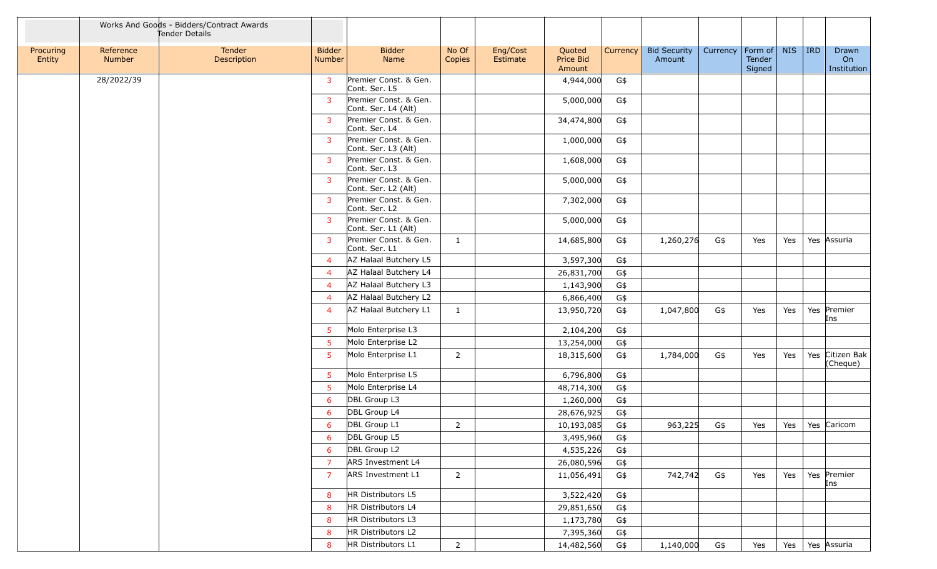|                     |                            | Works And Goods - Bidders/Contract Awards<br>Tender Details |                                |                                              |                 |                      |                               |          |                               |          |                             |            |            |                            |
|---------------------|----------------------------|-------------------------------------------------------------|--------------------------------|----------------------------------------------|-----------------|----------------------|-------------------------------|----------|-------------------------------|----------|-----------------------------|------------|------------|----------------------------|
| Procuring<br>Entity | Reference<br><b>Number</b> | <b>Tender</b><br>Description                                | <b>Bidder</b><br><b>Number</b> | <b>Bidder</b><br>Name                        | No Of<br>Copies | Eng/Cost<br>Estimate | Quoted<br>Price Bid<br>Amount | Currency | <b>Bid Security</b><br>Amount | Currency | Form of<br>Tender<br>Signed | <b>NIS</b> | <b>IRD</b> | Drawn<br>On<br>Institution |
|                     | 28/2022/39                 |                                                             | $\mathbf{3}$                   | Premier Const. & Gen.<br>Cont. Ser. L5       |                 |                      | 4,944,000                     | G\$      |                               |          |                             |            |            |                            |
|                     |                            |                                                             | $\overline{3}$                 | Premier Const. & Gen.<br>Cont. Ser. L4 (Alt) |                 |                      | 5,000,000                     | G\$      |                               |          |                             |            |            |                            |
|                     |                            |                                                             | 3                              | Premier Const. & Gen.<br>Cont. Ser. L4       |                 |                      | 34,474,800                    | G\$      |                               |          |                             |            |            |                            |
|                     |                            |                                                             | $\overline{3}$                 | Premier Const. & Gen.<br>Cont. Ser. L3 (Alt) |                 |                      | 1,000,000                     | G\$      |                               |          |                             |            |            |                            |
|                     |                            |                                                             | $\mathbf{3}$                   | Premier Const. & Gen.<br>Cont. Ser. L3       |                 |                      | 1,608,000                     | G\$      |                               |          |                             |            |            |                            |
|                     |                            |                                                             | $\overline{3}$                 | Premier Const. & Gen.<br>Cont. Ser. L2 (Alt) |                 |                      | 5,000,000                     | G\$      |                               |          |                             |            |            |                            |
|                     |                            |                                                             | 3                              | Premier Const. & Gen.<br>Cont. Ser. L2       |                 |                      | 7,302,000                     | G\$      |                               |          |                             |            |            |                            |
|                     |                            |                                                             | $\mathbf{3}$                   | Premier Const. & Gen.<br>Cont. Ser. L1 (Alt) |                 |                      | 5,000,000                     | G\$      |                               |          |                             |            |            |                            |
|                     |                            |                                                             | $\mathbf{3}$                   | Premier Const. & Gen.<br>Cont. Ser. L1       | $\mathbf{1}$    |                      | 14,685,800                    | G\$      | 1,260,276                     | G\$      | Yes                         | Yes        |            | Yes Assuria                |
|                     |                            |                                                             | $\overline{4}$                 | AZ Halaal Butchery L5                        |                 |                      | 3,597,300                     | G\$      |                               |          |                             |            |            |                            |
|                     |                            |                                                             | $\overline{4}$                 | AZ Halaal Butchery L4                        |                 |                      | 26,831,700                    | G\$      |                               |          |                             |            |            |                            |
|                     |                            |                                                             | 4                              | AZ Halaal Butchery L3                        |                 |                      | 1,143,900                     | G\$      |                               |          |                             |            |            |                            |
|                     |                            |                                                             | 4                              | AZ Halaal Butchery L2                        |                 |                      | 6,866,400                     | G\$      |                               |          |                             |            |            |                            |
|                     |                            |                                                             | 4                              | AZ Halaal Butchery L1                        | $\mathbf{1}$    |                      | 13,950,720                    | G\$      | 1,047,800                     | G\$      | Yes                         | Yes        |            | Yes Premier<br>Ins         |
|                     |                            |                                                             | 5 <sub>5</sub>                 | Molo Enterprise L3                           |                 |                      | 2,104,200                     | G\$      |                               |          |                             |            |            |                            |
|                     |                            |                                                             | 5                              | Molo Enterprise L2                           |                 |                      | 13,254,000                    | G\$      |                               |          |                             |            |            |                            |
|                     |                            |                                                             | 5 <sup>5</sup>                 | Molo Enterprise L1                           | $\overline{2}$  |                      | 18,315,600                    | G\$      | 1,784,000                     | G\$      | Yes                         | Yes        | Yes        | Citizen Bak<br>(Cheque)    |
|                     |                            |                                                             | 5 <sup>5</sup>                 | Molo Enterprise L5                           |                 |                      | 6,796,800                     | G\$      |                               |          |                             |            |            |                            |
|                     |                            |                                                             | 5                              | Molo Enterprise L4                           |                 |                      | 48,714,300                    | G\$      |                               |          |                             |            |            |                            |
|                     |                            |                                                             | 6                              | DBL Group L3                                 |                 |                      | 1,260,000                     | G\$      |                               |          |                             |            |            |                            |
|                     |                            |                                                             | 6                              | DBL Group L4                                 |                 |                      | 28,676,925                    | G\$      |                               |          |                             |            |            |                            |
|                     |                            |                                                             | 6                              | DBL Group L1                                 | $\overline{2}$  |                      | 10,193,085                    | G\$      | 963,225                       | G\$      | Yes                         | Yes        |            | Yes Caricom                |
|                     |                            |                                                             | 6                              | DBL Group L5                                 |                 |                      | 3,495,960                     | G\$      |                               |          |                             |            |            |                            |
|                     |                            |                                                             | 6                              | DBL Group L2                                 |                 |                      | 4,535,226                     | G\$      |                               |          |                             |            |            |                            |
|                     |                            |                                                             | $\overline{7}$                 | ARS Investment L4                            |                 |                      | 26,080,596                    | G\$      |                               |          |                             |            |            |                            |
|                     |                            |                                                             | $\overline{7}$                 | <b>ARS Investment L1</b>                     | $\overline{2}$  |                      | 11,056,491                    | G\$      | 742,742                       | G\$      | Yes                         | Yes        |            | Yes Premier<br>Ins         |
|                     |                            |                                                             | 8                              | HR Distributors L5                           |                 |                      | 3,522,420                     | G\$      |                               |          |                             |            |            |                            |
|                     |                            |                                                             | 8                              | HR Distributors L4                           |                 |                      | 29,851,650                    | G\$      |                               |          |                             |            |            |                            |
|                     |                            |                                                             | 8                              | HR Distributors L3                           |                 |                      | 1,173,780                     | G\$      |                               |          |                             |            |            |                            |
|                     |                            |                                                             | 8                              | HR Distributors L2                           |                 |                      | 7,395,360                     | G\$      |                               |          |                             |            |            |                            |
|                     |                            |                                                             | 8                              | HR Distributors L1                           | $\overline{2}$  |                      | 14,482,560                    | G\$      | 1,140,000                     | G\$      | Yes                         | Yes        |            | Yes Assuria                |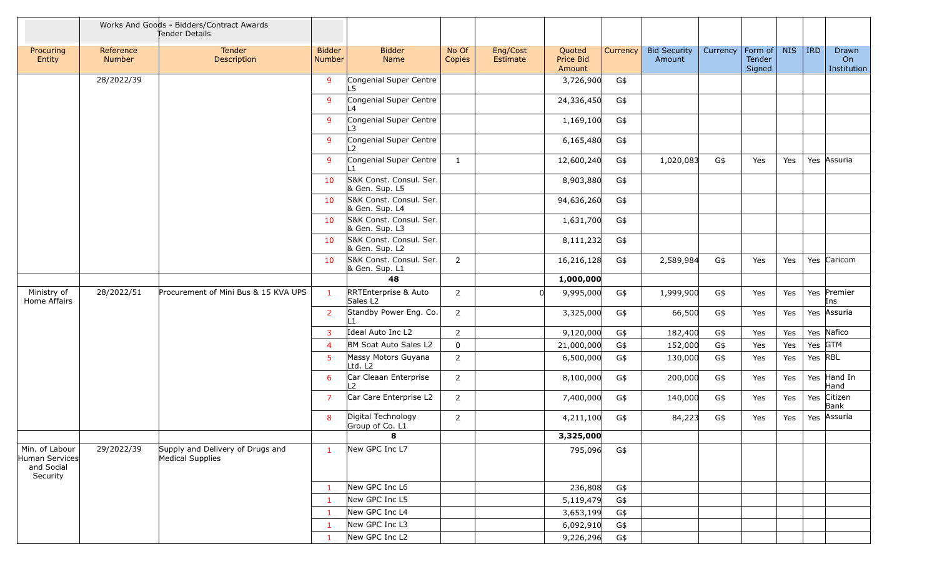|                                                            |                            | Works And Goods - Bidders/Contract Awards<br>Tender Details |                                |                                              |                 |                      |                               |          |                               |          |                                   |     |            |                            |
|------------------------------------------------------------|----------------------------|-------------------------------------------------------------|--------------------------------|----------------------------------------------|-----------------|----------------------|-------------------------------|----------|-------------------------------|----------|-----------------------------------|-----|------------|----------------------------|
| Procuring<br>Entity                                        | Reference<br><b>Number</b> | Tender<br>Description                                       | <b>Bidder</b><br><b>Number</b> | <b>Bidder</b><br>Name                        | No Of<br>Copies | Eng/Cost<br>Estimate | Quoted<br>Price Bid<br>Amount | Currency | <b>Bid Security</b><br>Amount | Currency | Form of   NIS<br>Tender<br>Signed |     | <b>IRD</b> | Drawn<br>On<br>Institution |
|                                                            | 28/2022/39                 |                                                             | 9                              | Congenial Super Centre<br>5                  |                 |                      | 3,726,900                     | G\$      |                               |          |                                   |     |            |                            |
|                                                            |                            |                                                             | 9                              | Congenial Super Centre<br>$\overline{4}$     |                 |                      | 24,336,450                    | G\$      |                               |          |                                   |     |            |                            |
|                                                            |                            |                                                             | 9                              | Congenial Super Centre<br>.3                 |                 |                      | 1,169,100                     | G\$      |                               |          |                                   |     |            |                            |
|                                                            |                            |                                                             | 9                              | Congenial Super Centre<br>$\mathcal{L}$      |                 |                      | 6,165,480                     | G\$      |                               |          |                                   |     |            |                            |
|                                                            |                            |                                                             | 9                              | Congenial Super Centre                       | 1               |                      | 12,600,240                    | G\$      | 1,020,083                     | G\$      | Yes                               | Yes |            | Yes Assuria                |
|                                                            |                            |                                                             | 10                             | S&K Const. Consul. Ser.<br>& Gen. Sup. L5    |                 |                      | 8,903,880                     | G\$      |                               |          |                                   |     |            |                            |
|                                                            |                            |                                                             | 10                             | S&K Const. Consul. Ser.<br>& Gen. Sup. L4    |                 |                      | 94,636,260                    | G\$      |                               |          |                                   |     |            |                            |
|                                                            |                            |                                                             | 10                             | S&K Const. Consul. Ser.<br>& Gen. Sup. L3    |                 |                      | 1,631,700                     | G\$      |                               |          |                                   |     |            |                            |
|                                                            |                            |                                                             | 10                             | S&K Const. Consul. Ser.<br>& Gen. Sup. L2    |                 |                      | 8,111,232                     | G\$      |                               |          |                                   |     |            |                            |
|                                                            |                            |                                                             | 10                             | S&K Const. Consul. Ser.<br>& Gen. Sup. L1    | $\overline{2}$  |                      | 16,216,128                    | G\$      | 2,589,984                     | G\$      | Yes                               | Yes |            | Yes Caricom                |
|                                                            |                            |                                                             |                                | 48                                           |                 |                      | 1,000,000                     |          |                               |          |                                   |     |            |                            |
| Ministry of<br>Home Affairs                                | 28/2022/51                 | Procurement of Mini Bus & 15 KVA UPS                        | $\mathbf{1}$                   | RRTEnterprise & Auto<br>Sales L <sub>2</sub> | $\overline{2}$  |                      | 9,995,000                     | G\$      | 1,999,900                     | G\$      | Yes                               | Yes |            | Yes Premier<br>Ins         |
|                                                            |                            |                                                             | $\overline{2}$                 | Standby Power Eng. Co.                       | $\overline{2}$  |                      | 3,325,000                     | G\$      | 66,500                        | G\$      | Yes                               | Yes |            | Yes Assuria                |
|                                                            |                            |                                                             | 3                              | Ideal Auto Inc L2                            | $\overline{2}$  |                      | 9,120,000                     | G\$      | 182,400                       | G\$      | Yes                               | Yes |            | Yes Nafico                 |
|                                                            |                            |                                                             | $\overline{4}$                 | BM Soat Auto Sales L2                        | $\mathbf 0$     |                      | 21,000,000                    | G\$      | 152,000                       | G\$      | Yes                               | Yes | Yes GTM    |                            |
|                                                            |                            |                                                             | 5                              | Massy Motors Guyana<br>Ltd. L2               | $\overline{2}$  |                      | 6,500,000                     | G\$      | 130,000                       | G\$      | Yes                               | Yes | Yes RBL    |                            |
|                                                            |                            |                                                             | 6                              | Car Cleaan Enterprise<br>L2                  | $\overline{2}$  |                      | 8,100,000                     | G\$      | 200,000                       | G\$      | Yes                               | Yes |            | Yes Hand In<br>Hand        |
|                                                            |                            |                                                             | $\overline{7}$                 | Car Care Enterprise L2                       | $\overline{2}$  |                      | 7,400,000                     | G\$      | 140,000                       | G\$      | Yes                               | Yes | Yes        | Citizen<br>Bank            |
|                                                            |                            |                                                             | 8                              | Digital Technology<br>Group of Co. L1        | $\overline{2}$  |                      | 4,211,100                     | G\$      | 84,223                        | G\$      | Yes                               | Yes | Yes        | Assuria                    |
|                                                            |                            |                                                             |                                | 8                                            |                 |                      | 3,325,000                     |          |                               |          |                                   |     |            |                            |
| Min. of Labour<br>Human Services<br>and Social<br>Security | 29/2022/39                 | Supply and Delivery of Drugs and<br>Medical Supplies        | $\mathbf{1}$                   | New GPC Inc L7                               |                 |                      | 795,096                       | G\$      |                               |          |                                   |     |            |                            |
|                                                            |                            |                                                             | -1                             | New GPC Inc L6                               |                 |                      | 236,808                       | G\$      |                               |          |                                   |     |            |                            |
|                                                            |                            |                                                             | $\mathbf{1}$                   | New GPC Inc L5                               |                 |                      | 5,119,479                     | G\$      |                               |          |                                   |     |            |                            |
|                                                            |                            |                                                             | $\mathbf{1}$                   | New GPC Inc L4                               |                 |                      | 3,653,199                     | G\$      |                               |          |                                   |     |            |                            |
|                                                            |                            |                                                             | $\mathbf{1}$                   | New GPC Inc L3                               |                 |                      | 6,092,910                     | G\$      |                               |          |                                   |     |            |                            |
|                                                            |                            |                                                             | 1                              | New GPC Inc L2                               |                 |                      | 9,226,296                     | G\$      |                               |          |                                   |     |            |                            |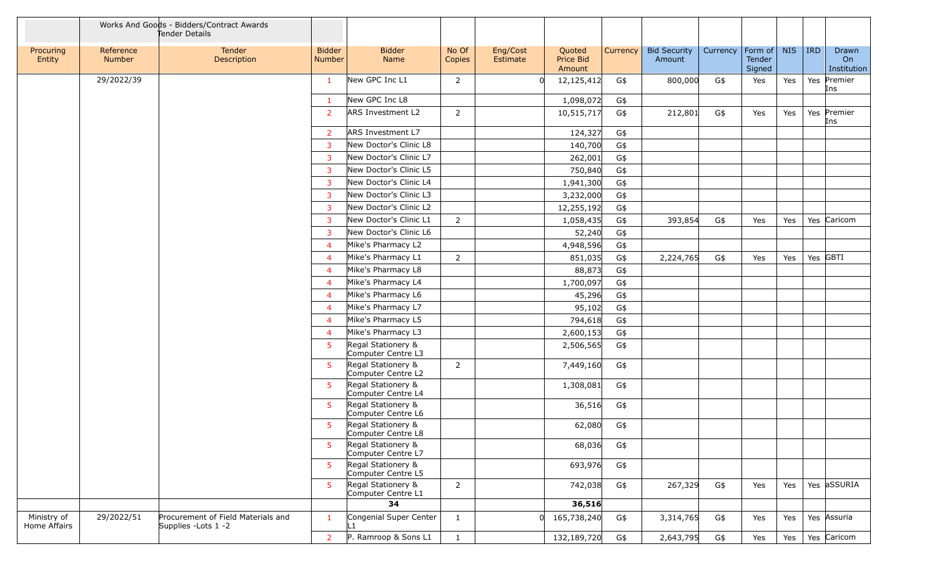|                             |                            | Works And Goods - Bidders/Contract Awards<br>Tender Details |                         |                                          |                 |                      |                               |          |                               |          |                             |            |            |                            |
|-----------------------------|----------------------------|-------------------------------------------------------------|-------------------------|------------------------------------------|-----------------|----------------------|-------------------------------|----------|-------------------------------|----------|-----------------------------|------------|------------|----------------------------|
| Procuring<br>Entity         | Reference<br><b>Number</b> | Tender<br>Description                                       | <b>Bidder</b><br>Number | <b>Bidder</b><br>Name                    | No Of<br>Copies | Eng/Cost<br>Estimate | Quoted<br>Price Bid<br>Amount | Currency | <b>Bid Security</b><br>Amount | Currency | Form of<br>Tender<br>Signed | <b>NIS</b> | <b>IRD</b> | Drawn<br>On<br>Institution |
|                             | 29/2022/39                 |                                                             | $\mathbf{1}$            | New GPC Inc L1                           | $\overline{2}$  |                      | 12,125,412                    | G\$      | 800,000                       | G\$      | Yes                         | Yes        | Yes        | Premier<br>Ins             |
|                             |                            |                                                             | $\mathbf{1}$            | New GPC Inc L8                           |                 |                      | 1,098,072                     | G\$      |                               |          |                             |            |            |                            |
|                             |                            |                                                             | 2                       | ARS Investment L2                        | $\overline{2}$  |                      | 10,515,717                    | G\$      | 212,801                       | G\$      | Yes                         | Yes        |            | Yes Premier<br>Ins         |
|                             |                            |                                                             | $\overline{2}$          | ARS Investment L7                        |                 |                      | 124,327                       | G\$      |                               |          |                             |            |            |                            |
|                             |                            |                                                             | $\overline{3}$          | New Doctor's Clinic L8                   |                 |                      | 140,700                       | G\$      |                               |          |                             |            |            |                            |
|                             |                            |                                                             | 3                       | New Doctor's Clinic L7                   |                 |                      | 262,001                       | G\$      |                               |          |                             |            |            |                            |
|                             |                            |                                                             | 3                       | New Doctor's Clinic L5                   |                 |                      | 750,840                       | G\$      |                               |          |                             |            |            |                            |
|                             |                            |                                                             | 3                       | New Doctor's Clinic L4                   |                 |                      | 1,941,300                     | G\$      |                               |          |                             |            |            |                            |
|                             |                            |                                                             | 3                       | New Doctor's Clinic L3                   |                 |                      | 3,232,000                     | G\$      |                               |          |                             |            |            |                            |
|                             |                            |                                                             | $\overline{3}$          | New Doctor's Clinic L2                   |                 |                      | 12,255,192                    | G\$      |                               |          |                             |            |            |                            |
|                             |                            |                                                             | 3                       | New Doctor's Clinic L1                   | $\overline{2}$  |                      | 1,058,435                     | G\$      | 393,854                       | G\$      | Yes                         | Yes        |            | Yes Caricom                |
|                             |                            |                                                             | 3                       | New Doctor's Clinic L6                   |                 |                      | 52,240                        | G\$      |                               |          |                             |            |            |                            |
|                             |                            |                                                             | $\overline{4}$          | Mike's Pharmacy L2                       |                 |                      | 4,948,596                     | G\$      |                               |          |                             |            |            |                            |
|                             |                            |                                                             | $\overline{4}$          | Mike's Pharmacy L1                       | $\overline{2}$  |                      | 851,035                       | G\$      | 2,224,765                     | G\$      | Yes                         | Yes        |            | Yes GBTI                   |
|                             |                            |                                                             | $\overline{4}$          | Mike's Pharmacy L8                       |                 |                      | 88,873                        | G\$      |                               |          |                             |            |            |                            |
|                             |                            |                                                             | $\overline{4}$          | Mike's Pharmacy L4                       |                 |                      | 1,700,097                     | G\$      |                               |          |                             |            |            |                            |
|                             |                            |                                                             | $\overline{4}$          | Mike's Pharmacy L6                       |                 |                      | 45,296                        | G\$      |                               |          |                             |            |            |                            |
|                             |                            |                                                             | $\overline{4}$          | Mike's Pharmacy L7                       |                 |                      | 95,102                        | G\$      |                               |          |                             |            |            |                            |
|                             |                            |                                                             | $\overline{4}$          | Mike's Pharmacy L5                       |                 |                      | 794,618                       | G\$      |                               |          |                             |            |            |                            |
|                             |                            |                                                             | $\overline{4}$          | Mike's Pharmacy L3                       |                 |                      | 2,600,153                     | G\$      |                               |          |                             |            |            |                            |
|                             |                            |                                                             | 5                       | Regal Stationery &<br>Computer Centre L3 |                 |                      | 2,506,565                     | G\$      |                               |          |                             |            |            |                            |
|                             |                            |                                                             | 5 <sup>1</sup>          | Regal Stationery &<br>Computer Centre L2 | $\overline{2}$  |                      | 7,449,160                     | G\$      |                               |          |                             |            |            |                            |
|                             |                            |                                                             | $5^{\circ}$             | Regal Stationery &<br>Computer Centre L4 |                 |                      | 1,308,081                     | G\$      |                               |          |                             |            |            |                            |
|                             |                            |                                                             | -5                      | Regal Stationery &<br>Computer Centre L6 |                 |                      | 36,516                        | G\$      |                               |          |                             |            |            |                            |
|                             |                            |                                                             | $5^{\circ}$             | Regal Stationery &<br>Computer Centre L8 |                 |                      | 62,080                        | G\$      |                               |          |                             |            |            |                            |
|                             |                            |                                                             | 5 <sup>1</sup>          | Regal Stationery &<br>Computer Centre L7 |                 |                      | 68,036                        | G\$      |                               |          |                             |            |            |                            |
|                             |                            |                                                             | 5 <sup>1</sup>          | Regal Stationery &<br>Computer Centre L5 |                 |                      | 693,976                       | G\$      |                               |          |                             |            |            |                            |
|                             |                            |                                                             | 5                       | Regal Stationery &<br>Computer Centre L1 | $\overline{2}$  |                      | 742,038                       | G\$      | 267,329                       | G\$      | Yes                         | Yes        |            | Yes aSSURIA                |
|                             |                            |                                                             |                         | 34                                       |                 |                      | 36,516                        |          |                               |          |                             |            |            |                            |
| Ministry of<br>Home Affairs | 29/2022/51                 | Procurement of Field Materials and<br>Supplies - Lots 1 - 2 | $\mathbf{1}$            | Congenial Super Center                   | $\mathbf{1}$    |                      | 165,738,240                   | G\$      | 3,314,765                     | G\$      | Yes                         | Yes        |            | Yes Assuria                |
|                             |                            |                                                             | $\overline{2}$          | P. Ramroop & Sons L1                     | $\mathbf{1}$    |                      | 132,189,720                   | G\$      | 2,643,795                     | G\$      | Yes                         | Yes        |            | Yes Caricom                |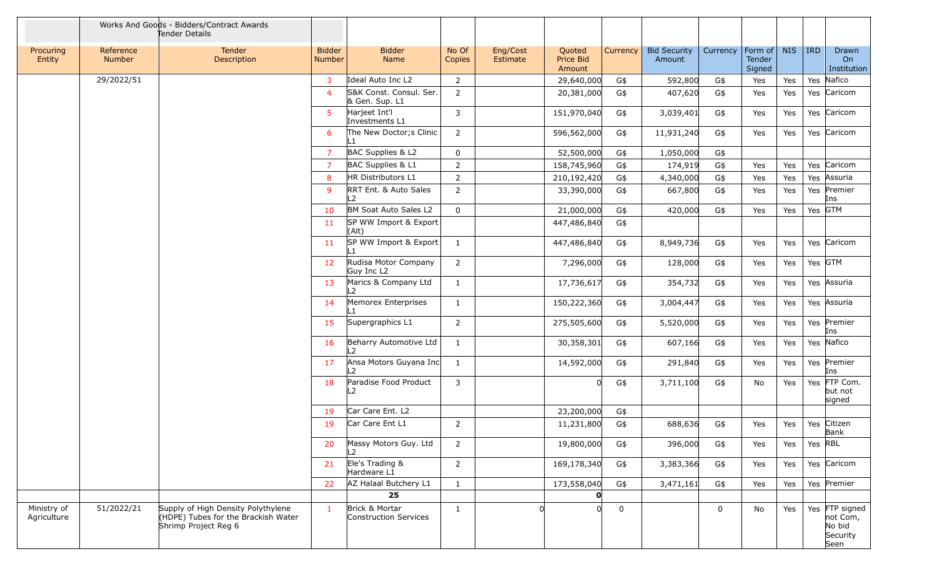|                            |                            | Works And Goods - Bidders/Contract Awards<br>Tender Details                                       |                         |                                           |                 |                      |                               |             |                               |             |                             |            |            |                                                          |
|----------------------------|----------------------------|---------------------------------------------------------------------------------------------------|-------------------------|-------------------------------------------|-----------------|----------------------|-------------------------------|-------------|-------------------------------|-------------|-----------------------------|------------|------------|----------------------------------------------------------|
| Procuring<br>Entity        | Reference<br><b>Number</b> | Tender<br>Description                                                                             | <b>Bidder</b><br>Number | <b>Bidder</b><br>Name                     | No Of<br>Copies | Eng/Cost<br>Estimate | Quoted<br>Price Bid<br>Amount | Currency    | <b>Bid Security</b><br>Amount | Currency    | Form of<br>Tender<br>Signed | <b>NIS</b> | <b>IRD</b> | Drawn<br>On<br>Institution                               |
|                            | 29/2022/51                 |                                                                                                   | 3                       | Ideal Auto Inc L2                         | 2               |                      | 29,640,000                    | G\$         | 592,800                       | G\$         | Yes                         | Yes        | Yes        | Nafico                                                   |
|                            |                            |                                                                                                   | $\overline{4}$          | S&K Const. Consul. Ser.<br>& Gen. Sup. L1 | $\overline{2}$  |                      | 20,381,000                    | G\$         | 407,620                       | G\$         | Yes                         | Yes        |            | Yes Caricom                                              |
|                            |                            |                                                                                                   | $5^{\circ}$             | Harjeet Int'l<br>Investments L1           | 3               |                      | 151,970,040                   | G\$         | 3,039,401                     | G\$         | Yes                         | Yes        |            | Yes Caricom                                              |
|                            |                            |                                                                                                   | 6                       | The New Doctor; s Clinic<br>l 1           | 2               |                      | 596,562,000                   | G\$         | 11,931,240                    | G\$         | Yes                         | Yes        |            | Yes Caricom                                              |
|                            |                            |                                                                                                   | $\overline{7}$          | BAC Supplies & L2                         | 0               |                      | 52,500,000                    | G\$         | 1,050,000                     | G\$         |                             |            |            |                                                          |
|                            |                            |                                                                                                   | $\overline{7}$          | BAC Supplies & L1                         | $\overline{2}$  |                      | 158,745,960                   | G\$         | 174,919                       | G\$         | Yes                         | Yes        |            | Yes Caricom                                              |
|                            |                            |                                                                                                   | 8                       | HR Distributors L1                        | $\overline{2}$  |                      | 210,192,420                   | G\$         | 4,340,000                     | G\$         | Yes                         | Yes        | Yes        | Assuria                                                  |
|                            |                            |                                                                                                   | 9                       | RRT Ent. & Auto Sales<br>L2               | $\overline{2}$  |                      | 33,390,000                    | G\$         | 667,800                       | G\$         | Yes                         | Yes        |            | Yes Premier<br>Ins                                       |
|                            |                            |                                                                                                   | 10                      | BM Soat Auto Sales L2                     | $\mathbf 0$     |                      | 21,000,000                    | G\$         | 420,000                       | G\$         | Yes                         | Yes        |            | Yes GTM                                                  |
|                            |                            |                                                                                                   | 11                      | SP WW Import & Export<br>(A t)            |                 |                      | 447,486,840                   | G\$         |                               |             |                             |            |            |                                                          |
|                            |                            |                                                                                                   | 11                      | SP WW Import & Export<br>ll 1             | 1               |                      | 447,486,840                   | G\$         | 8,949,736                     | G\$         | Yes                         | Yes        |            | Yes Caricom                                              |
|                            |                            |                                                                                                   | 12                      | Rudisa Motor Company<br>Guy Inc L2        | $\overline{2}$  |                      | 7,296,000                     | G\$         | 128,000                       | G\$         | Yes                         | Yes        |            | Yes GTM                                                  |
|                            |                            |                                                                                                   | 13                      | Marics & Company Ltd                      | $\mathbf{1}$    |                      | 17,736,617                    | G\$         | 354,732                       | G\$         | Yes                         | Yes        |            | Yes Assuria                                              |
|                            |                            |                                                                                                   | 14                      | Memorex Enterprises                       | $\mathbf{1}$    |                      | 150,222,360                   | G\$         | 3,004,447                     | G\$         | Yes                         | Yes        |            | Yes Assuria                                              |
|                            |                            |                                                                                                   | 15                      | Supergraphics L1                          | $\overline{2}$  |                      | 275,505,600                   | G\$         | 5,520,000                     | G\$         | Yes                         | Yes        |            | Yes Premier<br>Ins                                       |
|                            |                            |                                                                                                   | 16                      | Beharry Automotive Ltd<br>L <sub>2</sub>  | 1               |                      | 30,358,301                    | G\$         | 607,166                       | G\$         | Yes                         | Yes        |            | Yes Nafico                                               |
|                            |                            |                                                                                                   | 17                      | Ansa Motors Guyana Inc<br>12              | 1               |                      | 14,592,000                    | G\$         | 291,840                       | G\$         | Yes                         | Yes        |            | Yes Premier<br>Ins                                       |
|                            |                            |                                                                                                   | 18                      | Paradise Food Product<br>L2               | 3               |                      |                               | G\$         | 3,711,100                     | G\$         | No                          | Yes        | Yes        | FTP Com.<br>but not<br>signed                            |
|                            |                            |                                                                                                   | 19                      | Car Care Ent. L2                          |                 |                      | 23,200,000                    | G\$         |                               |             |                             |            |            |                                                          |
|                            |                            |                                                                                                   | 19                      | Car Care Ent L1                           | 2               |                      | 11,231,800                    | G\$         | 688,636                       | G\$         | Yes                         | Yes        |            | Yes Citizen<br>Bank                                      |
|                            |                            |                                                                                                   | 20                      | Massy Motors Guy. Ltd<br>12               | $\overline{2}$  |                      | 19,800,000                    | G\$         | 396,000                       | G\$         | Yes                         | Yes        | Yes RBL    |                                                          |
|                            |                            |                                                                                                   | 21                      | Ele's Trading &<br>Hardware L1            | $\overline{2}$  |                      | 169,178,340                   | G\$         | 3,383,366                     | G\$         | Yes                         | Yes        |            | Yes Caricom                                              |
|                            |                            |                                                                                                   | 22                      | AZ Halaal Butchery L1                     | $\mathbf{1}$    |                      | 173,558,040                   | G\$         | 3,471,161                     | G\$         | Yes                         | Yes        |            | Yes Premier                                              |
|                            |                            |                                                                                                   |                         | 25                                        |                 |                      |                               |             |                               |             |                             |            |            |                                                          |
| Ministry of<br>Agriculture | 51/2022/21                 | Supply of High Density Polythylene<br>(HDPE) Tubes for the Brackish Water<br>Shrimp Project Reg 6 | $\mathbf{1}$            | Brick & Mortar<br>Construction Services   | $\mathbf{1}$    |                      | 0                             | $\mathbf 0$ |                               | $\mathbf 0$ | No                          | Yes        |            | Yes FTP signed<br>not Com,<br>No bid<br>Security<br>Seen |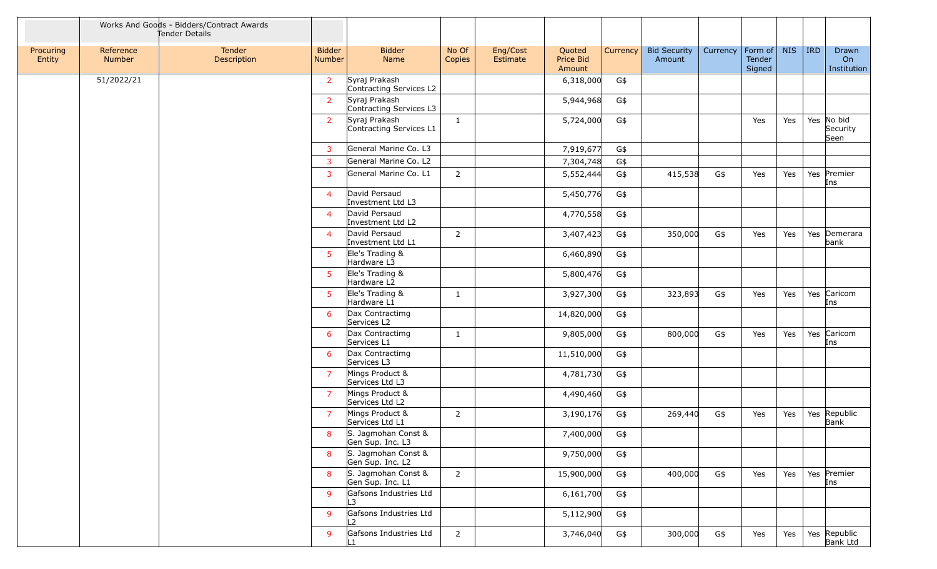|                     |                     | Works And Goods - Bidders/Contract Awards<br>Tender Details |                                |                                          |                 |                      |                               |          |                               |          |                             |            |            |                            |
|---------------------|---------------------|-------------------------------------------------------------|--------------------------------|------------------------------------------|-----------------|----------------------|-------------------------------|----------|-------------------------------|----------|-----------------------------|------------|------------|----------------------------|
| Procuring<br>Entity | Reference<br>Number | Tender<br>Description                                       | <b>Bidder</b><br><b>Number</b> | <b>Bidder</b><br>Name                    | No Of<br>Copies | Eng/Cost<br>Estimate | Quoted<br>Price Bid<br>Amount | Currency | <b>Bid Security</b><br>Amount | Currency | Form of<br>Tender<br>Signed | <b>NIS</b> | <b>IRD</b> | Drawn<br>On<br>Institution |
|                     | 51/2022/21          |                                                             | $\overline{2}$                 | Syraj Prakash<br>Contracting Services L2 |                 |                      | 6,318,000                     | G\$      |                               |          |                             |            |            |                            |
|                     |                     |                                                             | $\overline{2}$                 | Syraj Prakash<br>Contracting Services L3 |                 |                      | 5,944,968                     | G\$      |                               |          |                             |            |            |                            |
|                     |                     |                                                             | $\overline{2}$                 | Syraj Prakash<br>Contracting Services L1 | $\mathbf{1}$    |                      | 5,724,000                     | G\$      |                               |          | Yes                         | Yes        | Yes        | No bid<br>Security<br>Seen |
|                     |                     |                                                             | 3                              | General Marine Co. L3                    |                 |                      | 7,919,677                     | G\$      |                               |          |                             |            |            |                            |
|                     |                     |                                                             | $\mathbf{3}$                   | General Marine Co. L2                    |                 |                      | 7,304,748                     | G\$      |                               |          |                             |            |            |                            |
|                     |                     |                                                             | 3                              | General Marine Co. L1                    | $\overline{2}$  |                      | 5,552,444                     | G\$      | 415,538                       | G\$      | Yes                         | Yes        |            | Yes Premier<br>Ins         |
|                     |                     |                                                             | $\overline{4}$                 | David Persaud<br>Investment Ltd L3       |                 |                      | 5,450,776                     | G\$      |                               |          |                             |            |            |                            |
|                     |                     |                                                             | $\overline{4}$                 | David Persaud<br>Investment Ltd L2       |                 |                      | 4,770,558                     | G\$      |                               |          |                             |            |            |                            |
|                     |                     |                                                             | $\overline{4}$                 | David Persaud<br>Investment Ltd L1       | $\overline{2}$  |                      | 3,407,423                     | G\$      | 350,000                       | G\$      | Yes                         | Yes        |            | Yes Demerara<br>bank       |
|                     |                     |                                                             | $5^{\circ}$                    | Ele's Trading &<br>Hardware L3           |                 |                      | 6,460,890                     | G\$      |                               |          |                             |            |            |                            |
|                     |                     |                                                             | $5^{\circ}$                    | Ele's Trading &<br>Hardware L2           |                 |                      | 5,800,476                     | G\$      |                               |          |                             |            |            |                            |
|                     |                     |                                                             | 5                              | Ele's Trading &<br>Hardware L1           | 1               |                      | 3,927,300                     | G\$      | 323,893                       | G\$      | Yes                         | Yes        |            | Yes Caricom<br>Ins         |
|                     |                     |                                                             | 6                              | Dax Contractimg<br>Services L2           |                 |                      | 14,820,000                    | G\$      |                               |          |                             |            |            |                            |
|                     |                     |                                                             | 6                              | Dax Contractimg<br>Services L1           | $\mathbf{1}$    |                      | 9,805,000                     | G\$      | 800,000                       | G\$      | Yes                         | Yes        |            | Yes Caricom<br>Ins         |
|                     |                     |                                                             | 6                              | Dax Contractimg<br>Services L3           |                 |                      | 11,510,000                    | G\$      |                               |          |                             |            |            |                            |
|                     |                     |                                                             | $\overline{7}$                 | Mings Product &<br>Services Ltd L3       |                 |                      | 4,781,730                     | G\$      |                               |          |                             |            |            |                            |
|                     |                     |                                                             | $\overline{7}$                 | Mings Product &<br>Services Ltd L2       |                 |                      | 4,490,460                     | G\$      |                               |          |                             |            |            |                            |
|                     |                     |                                                             | $\overline{7}$                 | Mings Product &<br>Services Ltd L1       | $\overline{2}$  |                      | 3,190,176                     | G\$      | 269,440                       | G\$      | Yes                         | Yes        |            | Yes Republic<br>Bank       |
|                     |                     |                                                             | $8 -$                          | S. Jagmohan Const &<br>Gen Sup. Inc. L3  |                 |                      | 7,400,000                     | G\$      |                               |          |                             |            |            |                            |
|                     |                     |                                                             | 8                              | S. Jagmohan Const &<br>Gen Sup. Inc. L2  |                 |                      | 9,750,000                     | G\$      |                               |          |                             |            |            |                            |
|                     |                     |                                                             | 8                              | S. Jagmohan Const &<br>Gen Sup. Inc. L1  | $\overline{2}$  |                      | 15,900,000                    | G\$      | 400,000                       | G\$      | Yes                         | Yes        |            | Yes Premier<br>Ins         |
|                     |                     |                                                             | 9                              | Gafsons Industries Ltd<br>L3             |                 |                      | 6,161,700                     | G\$      |                               |          |                             |            |            |                            |
|                     |                     |                                                             | 9                              | Gafsons Industries Ltd<br>L2             |                 |                      | 5,112,900                     | G\$      |                               |          |                             |            |            |                            |
|                     |                     |                                                             | 9                              | Gafsons Industries Ltd<br>ll 1           | $\overline{2}$  |                      | 3,746,040                     | G\$      | 300,000                       | G\$      | Yes                         | Yes        |            | Yes Republic<br>Bank Ltd   |